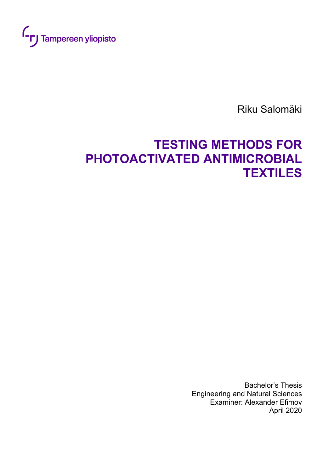

Riku Salomäki

# **TESTING METHODS FOR PHOTOACTIVATED ANTIMICROBIAL TEXTILES**

Bachelor's Thesis Engineering and Natural Sciences Examiner: Alexander Efimov April 2020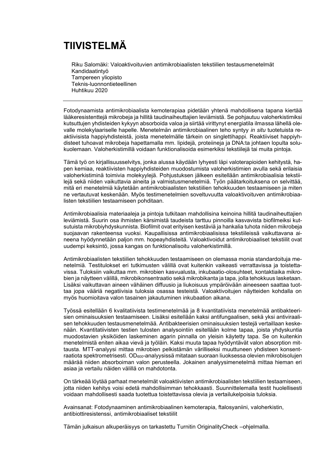## **TIIVISTELMÄ**

Riku Salomäki: Valoaktivoituvien antimikrobiaalisten tekstiilien testausmenetelmät Kandidaatintyö Tampereen yliopisto Teknis-luonnontieteellinen Huhtikuu 2020

Fotodynaamista antimikrobiaalista kemoterapiaa pidetään yhtenä mahdollisena tapana kiertää lääkeresistenttejä mikrobeja ja hillitä taudinaiheuttajien leviämistä. Se pohjautuu valoherkistimiksi kutsuttujen yhdisteiden kykyyn absorboida valoa ja siirtää virittynyt energiatila ilmassa lähellä olevalle molekylaariselle hapelle. Menetelmän antimikrobiaalinen teho syntyy *in situ* tuotetuista reaktiivisista happiyhdisteistä, joista menetelmälle tärkein on singlettihappi. Reaktiiviset happiyhdisteet tuhoavat mikrobeja hapettamalla mm. lipidejä, proteiineja ja DNA:ta johtaen lopulta solukuolemaan. Valoherkistimillä voidaan funktionalisoida esimerkiksi tekstiilejä tai muita pintoja.

Tämä työ on kirjallisuusselvitys, jonka alussa käydään lyhyesti läpi valoterapioiden kehitystä, hapen kemiaa, reaktiivisten happiyhdisteiden muodostumista valoherkistimien avulla sekä erilaisia valoherkistiminä toimivia molekyylejä. Pohjustuksen jälkeen esitellään antimikrobiaalisia tekstiilejä sekä niiden vaikuttavia aineita ja valmistusmenetelmiä. Työn päätarkoituksena on selvittää, mitä eri menetelmiä käytetään antimikrobiaalisten tekstiilien tehokkuuden testaamiseen ja miten ne vertautuvat keskenään. Myös testimenetelmien soveltuvuutta valoaktivoituven antimikrobiaalisten tekstiilien testaamiseen pohditaan.

Antimikrobiaalisia materiaaleja ja pintoja tutkitaan mahdollisina keinoina hillitä taudinaiheuttajien leviämistä. Suurin osa ihmisten kärsimistä taudeista tarttuu pinnoilla kasvavista biofilmeiksi kutsutuista mikrobiyhdyskunnista. Biofilmit ovat erityisen kestäviä ja hankalia tuhota niiden mikrobeja suojaavan rakenteensa vuoksi. Kaupallisissa antimikrobiaalisissa tekstiileissä vaikuttavana aineena hyödynnetään paljon mm. hopeayhdisteitä. Valoaktivoidut antimikrobiaaliset tekstiilit ovat uudempi keksintö, jossa kangas on funktionalisoitu valoherkistimillä.

Antimikrobiaalisten tekstiilien tehokkuuden testaamiseen on olemassa monia standardoituja menetelmiä. Testitulokset eri tutkimusten välillä ovat kuitenkin vaikeasti verrattavissa ja toistettavissa. Tuloksiin vaikuttaa mm. mikrobien kasvualusta, inkubaatio-olosuhteet, kontaktiaika mikrobien ja näytteen välillä, mikrobikonsentraatio sekä mikrobikanta ja tapa, jolla tehokkuus lasketaan. Lisäksi vaikuttavan aineen vähäinen diffuusio ja liukoisuus ympäröivään aineeseen saattaa tuottaa jopa vääriä negatiivisia tuloksia osassa testeistä. Valoaktivoitujen näytteiden kohdalla on myös huomioitava valon tasainen jakautuminen inkubaation aikana.

Työssä esitellään 6 kvalitatiivista testimenetelmää ja 8 kvantitatiivista menetelmää antibakteerisien ominaisuuksien testaamiseen. Lisäksi esitellään kaksi antifungaalisen, sekä yksi antiviraalisen tehokkuuden testausmenetelmää. Antibakteerisien ominaisuuksien testejä vertaillaan keskenään. Kvantitatiivisten testien tulosten analysointiin esitellään kolme tapaa, joista yhdyskuntia muodostavien yksiköiden laskeminen agarin pinnalla on yleisin käytetty tapa. Se on kuitenkin menetelmistä eniten aikaa vievä ja työläin. Kaksi muuta tapaa hyödyntävät valon absorption mittausta. MTT-analyysi mittaa mikrobien pelkistämän värilliseksi muuttuneen yhdisteen konsentraatiota spektrometrisesti. OD<sub>600</sub>-analyysissä mitataan suoraan liuoksessa olevien mikrobisolujen määrää niiden absorboiman valon perusteella. Jokainen analyysimenetelmä mittaa hieman eri asiaa ja vertailu näiden välillä on mahdotonta.

On tärkeää löytää parhaat menetelmät valoaktiivisten antimikrobiaalisten tekstiilien testaamiseen, jotta niiden kehitys voisi edetä mahdollisimman tehokkaasti. Suunnittelemalla testit huolellisesti voidaan mahdollisesti saada tuotettua toistettavissa olevia ja vertailukelpoisia tuloksia.

Avainsanat: Fotodynaaminen antimikrobiaalinen kemoterapia, ftalosyaniini, valoherkistin, antibiottiresistenssi, antimikrobiaaliset tekstiilit

Tämän julkaisun alkuperäisyys on tarkastettu Turnitin OriginalityCheck –ohjelmalla.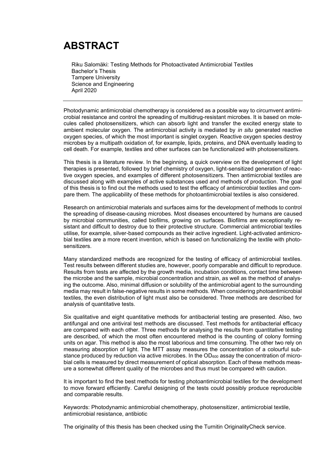## **ABSTRACT**

Riku Salomäki: Testing Methods for Photoactivated Antimicrobial Textiles Bachelor's Thesis Tampere University Science and Engineering April 2020

Photodynamic antimicrobial chemotherapy is considered as a possible way to circumvent antimicrobial resistance and control the spreading of multidrug-resistant microbes. It is based on molecules called photosensitizers, which can absorb light and transfer the excited energy state to ambient molecular oxygen. The antimicrobial activity is mediated by *in situ* generated reactive oxygen species, of which the most important is singlet oxygen. Reactive oxygen species destroy microbes by a multipath oxidation of, for example, lipids, proteins, and DNA eventually leading to cell death. For example, textiles and other surfaces can be functionalized with photosensitizers.

This thesis is a literature review. In the beginning, a quick overview on the development of light therapies is presented, followed by brief chemistry of oxygen, light-sensitized generation of reactive oxygen species, and examples of different photosensitizers. Then antimicrobial textiles are discussed along with examples of active substances used and methods of production. The goal of this thesis is to find out the methods used to test the efficacy of antimicrobial textiles and compare them. The applicability of these methods for photoantimicrobial textiles is also considered.

Research on antimicrobial materials and surfaces aims for the development of methods to control the spreading of disease-causing microbes. Most diseases encountered by humans are caused by microbial communities, called biofilms, growing on surfaces. Biofilms are exceptionally resistant and difficult to destroy due to their protective structure. Commercial antimicrobial textiles utilise, for example, silver-based compounds as their active ingredient. Light-activated antimicrobial textiles are a more recent invention, which is based on functionalizing the textile with photosensitizers.

Many standardized methods are recognized for the testing of efficacy of antimicrobial textiles. Test results between different studies are, however, poorly comparable and difficult to reproduce. Results from tests are affected by the growth media, incubation conditions, contact time between the microbe and the sample, microbial concentration and strain, as well as the method of analysing the outcome. Also, minimal diffusion or solubility of the antimicrobial agent to the surrounding media may result in false-negative results in some methods. When considering photoantimicrobial textiles, the even distribution of light must also be considered. Three methods are described for analysis of quantitative tests.

Six qualitative and eight quantitative methods for antibacterial testing are presented. Also, two antifungal and one antiviral test methods are discussed. Test methods for antibacterial efficacy are compared with each other. Three methods for analysing the results from quantitative testing are described, of which the most often encountered method is the counting of colony forming units on agar. This method is also the most laborious and time consuming. The other two rely on measuring absorption of light. The MTT assay measures the concentration of a colourful substance produced by reduction via active microbes. In the  $OD<sub>600</sub>$  assay the concentration of microbial cells is measured by direct measurement of optical absorption. Each of these methods measure a somewhat different quality of the microbes and thus must be compared with caution.

It is important to find the best methods for testing photoantimicrobial textiles for the development to move forward efficiently. Careful designing of the tests could possibly produce reproducible and comparable results.

Keywords: Photodynamic antimicrobial chemotherapy, photosensitizer, antimicrobial textile, antimicrobial resistance, antibiotic

The originality of this thesis has been checked using the Turnitin OriginalityCheck service.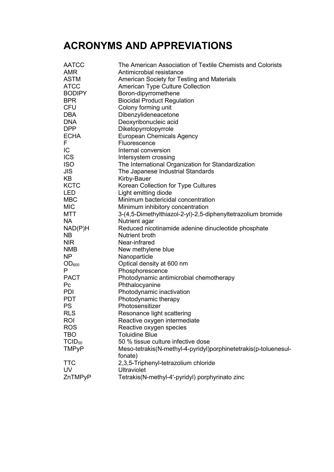## **ACRONYMS AND APPREVIATIONS**

| <b>AATCC</b>  | The American Association of Textile Chemists and Colorists      |
|---------------|-----------------------------------------------------------------|
| <b>AMR</b>    | Antimicrobial resistance                                        |
| <b>ASTM</b>   | American Society for Testing and Materials                      |
| <b>ATCC</b>   | <b>American Type Culture Collection</b>                         |
| <b>BODIPY</b> | Boron-dipyrromethene                                            |
| <b>BPR</b>    | <b>Biocidal Product Regulation</b>                              |
| <b>CFU</b>    | Colony forming unit                                             |
| <b>DBA</b>    | Dibenzylideneacetone                                            |
| <b>DNA</b>    | Deoxyribonucleic acid                                           |
| <b>DPP</b>    | Diketopyrrolopyrrole                                            |
| <b>ECHA</b>   | <b>European Chemicals Agency</b>                                |
| F             | Fluorescence                                                    |
| IC            | Internal conversion                                             |
| <b>ICS</b>    | Intersystem crossing                                            |
| <b>ISO</b>    | The International Organization for Standardization              |
| <b>JIS</b>    | The Japanese Industrial Standards                               |
| KB            | Kirby-Bauer                                                     |
| <b>KCTC</b>   | Korean Collection for Type Cultures                             |
| <b>LED</b>    | Light emitting diode                                            |
| <b>MBC</b>    | Minimum bactericidal concentration                              |
| <b>MIC</b>    | Minimum inhibitory concentration                                |
| MTT           | 3-(4,5-Dimethylthiazol-2-yl)-2,5-diphenyltetrazolium bromide    |
| NA.           | Nutrient agar                                                   |
| NAD(P)H       | Reduced nicotinamide adenine dinucleotide phosphate             |
| NB            | Nutrient broth                                                  |
| <b>NIR</b>    | Near-infrared                                                   |
| <b>NMB</b>    | New methylene blue                                              |
| <b>NP</b>     | Nanoparticle                                                    |
| $OD_{600}$    | Optical density at 600 nm                                       |
| Р             | Phosphorescence                                                 |
| <b>PACT</b>   | Photodynamic antimicrobial chemotherapy                         |
| Pc            | Phthalocyanine                                                  |
| <b>PDI</b>    | Photodynamic inactivation                                       |
| <b>PDT</b>    | Photodynamic therapy                                            |
| <b>PS</b>     | Photosensitizer                                                 |
| <b>RLS</b>    | Resonance light scattering                                      |
| <b>ROI</b>    | Reactive oxygen intermediate                                    |
| <b>ROS</b>    | Reactive oxygen species                                         |
| <b>TBO</b>    | <b>Toluidine Blue</b>                                           |
| $TCID_{50}$   | 50 % tissue culture infective dose                              |
| <b>TMPyP</b>  | Meso-tetrakis(N-methyl-4-pyridyl)porphinetetrakis(p-toluenesul- |
|               | fonate)                                                         |
| <b>TTC</b>    | 2,3,5-Triphenyl-tetrazolium chloride                            |
| <b>UV</b>     | <b>Ultraviolet</b>                                              |
| ZnTMPyP       | Tetrakis(N-methyl-4'-pyridyl) porphyrinato zinc                 |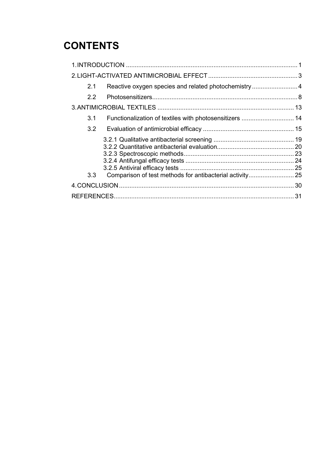## **CONTENTS**

| 2.1              | Reactive oxygen species and related photochemistry4 |  |
|------------------|-----------------------------------------------------|--|
| $2.2^{\circ}$    |                                                     |  |
|                  |                                                     |  |
| 3.1              |                                                     |  |
| 3.2              |                                                     |  |
| 3.3 <sub>2</sub> |                                                     |  |
|                  |                                                     |  |
|                  |                                                     |  |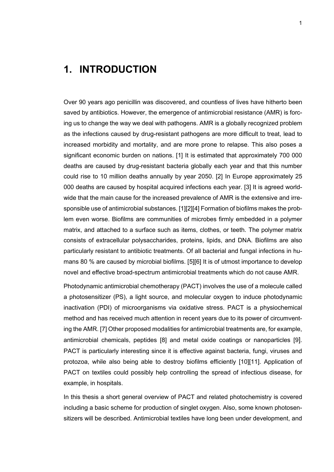## <span id="page-5-0"></span>**1. INTRODUCTION**

Over 90 years ago penicillin was discovered, and countless of lives have hitherto been saved by antibiotics. However, the emergence of antimicrobial resistance (AMR) is forcing us to change the way we deal with pathogens. AMR is a globally recognized problem as the infections caused by drug-resistant pathogens are more difficult to treat, lead to increased morbidity and mortality, and are more prone to relapse. This also poses a significant economic burden on nations. [1] It is estimated that approximately 700 000 deaths are caused by drug-resistant bacteria globally each year and that this number could rise to 10 million deaths annually by year 2050. [2] In Europe approximately 25 000 deaths are caused by hospital acquired infections each year. [3] It is agreed worldwide that the main cause for the increased prevalence of AMR is the extensive and irresponsible use of antimicrobial substances. [1][2][4] Formation of biofilms makes the problem even worse. Biofilms are communities of microbes firmly embedded in a polymer matrix, and attached to a surface such as items, clothes, or teeth. The polymer matrix consists of extracellular polysaccharides, proteins, lipids, and DNA. Biofilms are also particularly resistant to antibiotic treatments. Of all bacterial and fungal infections in humans 80 % are caused by microbial biofilms. [5][6] It is of utmost importance to develop novel and effective broad-spectrum antimicrobial treatments which do not cause AMR.

Photodynamic antimicrobial chemotherapy (PACT) involves the use of a molecule called a photosensitizer (PS), a light source, and molecular oxygen to induce photodynamic inactivation (PDI) of microorganisms via oxidative stress. PACT is a physiochemical method and has received much attention in recent years due to its power of circumventing the AMR. [7] Other proposed modalities for antimicrobial treatments are, for example, antimicrobial chemicals, peptides [8] and metal oxide coatings or nanoparticles [9]. PACT is particularly interesting since it is effective against bacteria, fungi, viruses and protozoa, while also being able to destroy biofilms efficiently [10][11]. Application of PACT on textiles could possibly help controlling the spread of infectious disease, for example, in hospitals.

In this thesis a short general overview of PACT and related photochemistry is covered including a basic scheme for production of singlet oxygen. Also, some known photosensitizers will be described. Antimicrobial textiles have long been under development, and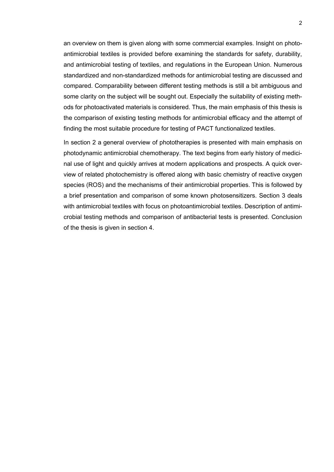an overview on them is given along with some commercial examples. Insight on photoantimicrobial textiles is provided before examining the standards for safety, durability, and antimicrobial testing of textiles, and regulations in the European Union. Numerous standardized and non-standardized methods for antimicrobial testing are discussed and compared. Comparability between different testing methods is still a bit ambiguous and some clarity on the subject will be sought out. Especially the suitability of existing methods for photoactivated materials is considered. Thus, the main emphasis of this thesis is the comparison of existing testing methods for antimicrobial efficacy and the attempt of finding the most suitable procedure for testing of PACT functionalized textiles.

In section 2 a general overview of phototherapies is presented with main emphasis on photodynamic antimicrobial chemotherapy. The text begins from early history of medicinal use of light and quickly arrives at modern applications and prospects. A quick overview of related photochemistry is offered along with basic chemistry of reactive oxygen species (ROS) and the mechanisms of their antimicrobial properties. This is followed by a brief presentation and comparison of some known photosensitizers. Section 3 deals with antimicrobial textiles with focus on photoantimicrobial textiles. Description of antimicrobial testing methods and comparison of antibacterial tests is presented. Conclusion of the thesis is given in section 4.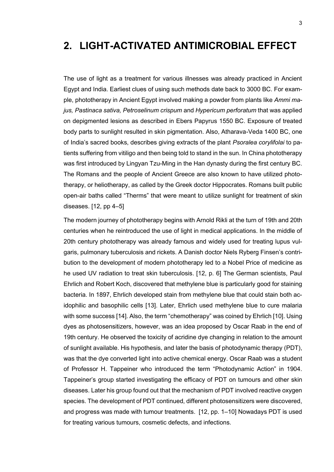## <span id="page-7-0"></span>**2. LIGHT-ACTIVATED ANTIMICROBIAL EFFECT**

The use of light as a treatment for various illnesses was already practiced in Ancient Egypt and India. Earliest clues of using such methods date back to 3000 BC. For example, phototherapy in Ancient Egypt involved making a powder from plants like *Ammi majus, Pastinaca sativa, Petroselinum crispum* and *Hypericum perforatum* that was applied on depigmented lesions as described in Ebers Papyrus 1550 BC. Exposure of treated body parts to sunlight resulted in skin pigmentation. Also, Atharava-Veda 1400 BC, one of India's sacred books, describes giving extracts of the plant *Psoralea corylifolai* to patients suffering from vitiligo and then being told to stand in the sun. In China phototherapy was first introduced by Lingyan Tzu-Ming in the Han dynasty during the first century BC. The Romans and the people of Ancient Greece are also known to have utilized phototherapy, or heliotherapy, as called by the Greek doctor Hippocrates. Romans built public open-air baths called "Therms" that were meant to utilize sunlight for treatment of skin diseases.  $[12, pp 4-5]$ 

The modern journey of phototherapy begins with Arnold Rikli at the turn of 19th and 20th centuries when he reintroduced the use of light in medical applications. In the middle of 20th century phototherapy was already famous and widely used for treating lupus vulgaris, pulmonary tuberculosis and rickets. A Danish doctor Niels Ryberg Finsen's contribution to the development of modern phototherapy led to a Nobel Price of medicine as he used UV radiation to treat skin tuberculosis. [12, p. 6] The German scientists, Paul Ehrlich and Robert Koch, discovered that methylene blue is particularly good for staining bacteria. In 1897, Ehrlich developed stain from methylene blue that could stain both acidophilic and basophilic cells [13]. Later, Ehrlich used methylene blue to cure malaria with some success [14]. Also, the term "chemotherapy" was coined by Ehrlich [10]. Using dyes as photosensitizers, however, was an idea proposed by Oscar Raab in the end of 19th century. He observed the toxicity of acridine dye changing in relation to the amount of sunlight available. His hypothesis, and later the basis of photodynamic therapy (PDT), was that the dye converted light into active chemical energy. Oscar Raab was a student of Professor H. Tappeiner who introduced the term "Photodynamic Action" in 1904. Tappeiner's group started investigating the efficacy of PDT on tumours and other skin diseases. Later his group found out that the mechanism of PDT involved reactive oxygen species. The development of PDT continued, different photosensitizers were discovered, and progress was made with tumour treatments. [12, pp. 1–10] Nowadays PDT is used for treating various tumours, cosmetic defects, and infections.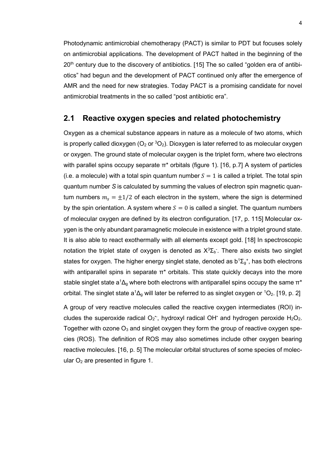Photodynamic antimicrobial chemotherapy (PACT) is similar to PDT but focuses solely on antimicrobial applications. The development of PACT halted in the beginning of the 20<sup>th</sup> century due to the discovery of antibiotics. [15] The so called "golden era of antibiotics" had begun and the development of PACT continued only after the emergence of AMR and the need for new strategies. Today PACT is a promising candidate for novel antimicrobial treatments in the so called "post antibiotic era".

#### <span id="page-8-0"></span>**2.1 Reactive oxygen species and related photochemistry**

Oxygen as a chemical substance appears in nature as a molecule of two atoms, which is properly called dioxygen  $(O_2 \text{ or } ^3O_2)$ . Dioxygen is later referred to as molecular oxygen or oxygen. The ground state of molecular oxygen is the triplet form, where two electrons with parallel spins occupy separate  $\pi^*$  orbitals (figure 1). [16, p.7] A system of particles (i.e. a molecule) with a total spin quantum number  $S = 1$  is called a triplet. The total spin quantum number *S* is calculated by summing the values of electron spin magnetic quantum numbers  $m_s = \pm 1/2$  of each electron in the system, where the sign is determined by the spin orientation. A system where  $S = 0$  is called a singlet. The quantum numbers of molecular oxygen are defined by its electron configuration. [17, p. 115] Molecular oxygen is the only abundant paramagnetic molecule in existence with a triplet ground state. It is also able to react exothermally with all elements except gold. [18] In spectroscopic notation the triplet state of oxygen is denoted as  $X^3\Sigma_b$ . There also exists two singlet states for oxygen. The higher energy singlet state, denoted as  $b^1\Sigma_g^*$ , has both electrons with antiparallel spins in separate  $\pi^*$  orbitals. This state quickly decays into the more stable singlet state  $a^1\Delta_q$  where both electrons with antiparallel spins occupy the same  $\pi^*$ orbital. The singlet state a<sup>1</sup> $\Delta$ <sub>g</sub> will later be referred to as singlet oxygen or <sup>1</sup>O<sub>2</sub>. [19, p. 2]

A group of very reactive molecules called the reactive oxygen intermediates (ROI) includes the superoxide radical  $O_2$ ; hydroxyl radical OH<sup> $\cdot$ </sup> and hydrogen peroxide H<sub>2</sub>O<sub>2</sub>. Together with ozone  $O_3$  and singlet oxygen they form the group of reactive oxygen species (ROS). The definition of ROS may also sometimes include other oxygen bearing reactive molecules. [16, p. 5] The molecular orbital structures of some species of molecular  $O<sub>2</sub>$  are presented in figure 1.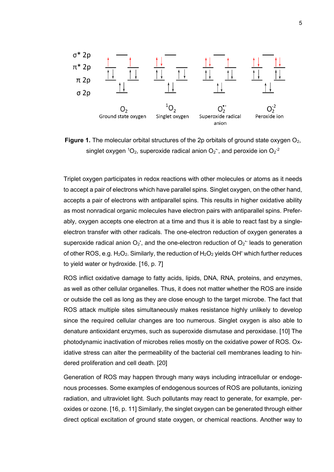

**Figure 1.** The molecular orbital structures of the 2p orbitals of ground state oxygen O<sub>2</sub>, singlet oxygen <sup>1</sup>O<sub>2</sub>, superoxide radical anion O<sub>2</sub><sup>-</sup>, and peroxide ion O<sub>2</sub><sup>-2</sup>

Triplet oxygen participates in redox reactions with other molecules or atoms as it needs to accept a pair of electrons which have parallel spins. Singlet oxygen, on the other hand, accepts a pair of electrons with antiparallel spins. This results in higher oxidative ability as most nonradical organic molecules have electron pairs with antiparallel spins. Preferably, oxygen accepts one electron at a time and thus it is able to react fast by a singleelectron transfer with other radicals. The one-electron reduction of oxygen generates a superoxide radical anion  $O_2$ , and the one-electron reduction of  $O_2$  leads to generation of other ROS, e.g. H<sub>2</sub>O<sub>2</sub>. Similarly, the reduction of H<sub>2</sub>O<sub>2</sub> yields OH<sup>+</sup> which further reduces to yield water or hydroxide. [16, p. 7]

ROS inflict oxidative damage to fatty acids, lipids, DNA, RNA, proteins, and enzymes, as well as other cellular organelles. Thus, it does not matter whether the ROS are inside or outside the cell as long as they are close enough to the target microbe. The fact that ROS attack multiple sites simultaneously makes resistance highly unlikely to develop since the required cellular changes are too numerous. Singlet oxygen is also able to denature antioxidant enzymes, such as superoxide dismutase and peroxidase. [10] The photodynamic inactivation of microbes relies mostly on the oxidative power of ROS. Oxidative stress can alter the permeability of the bacterial cell membranes leading to hindered proliferation and cell death. [20]

Generation of ROS may happen through many ways including intracellular or endogenous processes. Some examples of endogenous sources of ROS are pollutants, ionizing radiation, and ultraviolet light. Such pollutants may react to generate, for example, peroxides or ozone. [16, p. 11] Similarly, the singlet oxygen can be generated through either direct optical excitation of ground state oxygen, or chemical reactions. Another way to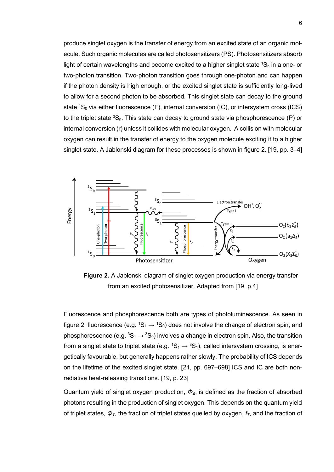produce singlet oxygen is the transfer of energy from an excited state of an organic molecule. Such organic molecules are called photosensitizers (PS). Photosensitizers absorb light of certain wavelengths and become excited to a higher singlet state  ${}^{1}S_{n}$  in a one- or two-photon transition. Two-photon transition goes through one-photon and can happen if the photon density is high enough, or the excited singlet state is sufficiently long-lived to allow for a second photon to be absorbed. This singlet state can decay to the ground state  ${}^{1}S_{0}$  via either fluorescence (F), internal conversion (IC), or intersystem cross (ICS) to the triplet state  ${}^{3}S_{n}$ . This state can decay to ground state via phosphorescence (P) or internal conversion (r) unless it collides with molecular oxygen. A collision with molecular oxygen can result in the transfer of energy to the oxygen molecule exciting it to a higher singlet state. A Jablonski diagram for these processes is shown in figure 2. [19, pp. 3–4]



**Figure 2.** A Jablonski diagram of singlet oxygen production via energy transfer from an excited photosensitizer. Adapted from [19, p.4]

Fluorescence and phosphorescence both are types of photoluminescence. As seen in figure 2, fluorescence (e.g.  ${}^{1}S_{1} \rightarrow {}^{1}S_{0}$ ) does not involve the change of electron spin, and phosphorescence (e.g.  ${}^{3}S_{1} \rightarrow {}^{3}S_{0}$ ) involves a change in electron spin. Also, the transition from a singlet state to triplet state (e.g.  ${}^{1}S_{1} \rightarrow {}^{3}S_{1}$ ), called intersystem crossing, is energetically favourable, but generally happens rather slowly. The probability of ICS depends on the lifetime of the excited singlet state. [21, pp. 697–698] ICS and IC are both nonradiative heat-releasing transitions. [19, p. 23]

Quantum yield of singlet oxygen production, *ΦΔ*, is defined as the fraction of absorbed photons resulting in the production of singlet oxygen. This depends on the quantum yield of triplet states, *ΦT*, the fraction of triplet states quelled by oxygen, *fT*, and the fraction of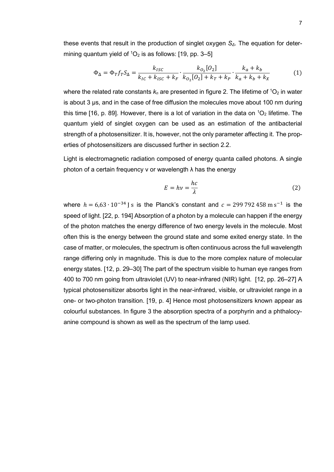these events that result in the production of singlet oxygen *SΔ*. The equation for determining quantum yield of  ${}^{1}O_{2}$  is as follows: [19, pp. 3–5]

$$
\Phi_{\Delta} = \Phi_T f_T S_{\Delta} = \frac{k_{ISC}}{k_{IC} + k_{ISC} + k_F} \cdot \frac{k_{O_2}[O_2]}{k_{O_2}[O_2] + k_T + k_P} \cdot \frac{k_a + k_b}{k_a + k_b + k_X} \tag{1}
$$

where the related rate constants  $k_n$  are presented in figure 2. The lifetime of  ${}^{1}O_2$  in water is about 3 μs, and in the case of free diffusion the molecules move about 100 nm during this time [16, p. 89]. However, there is a lot of variation in the data on  ${}^{1}O_{2}$  lifetime. The quantum yield of singlet oxygen can be used as an estimation of the antibacterial strength of a photosensitizer. It is, however, not the only parameter affecting it. The properties of photosensitizers are discussed further in section 2.2.

Light is electromagnetic radiation composed of energy quanta called photons. A single photon of a certain frequency ν or wavelength λ has the energy

$$
E = hv = \frac{hc}{\lambda} \tag{2}
$$

where  $h = 6.63 \cdot 10^{-34}$  J s is the Planck's constant and  $c = 299\,792\,458$  m s<sup>-1</sup> is the speed of light. [22, p. 194] Absorption of a photon by a molecule can happen if the energy of the photon matches the energy difference of two energy levels in the molecule. Most often this is the energy between the ground state and some exited energy state. In the case of matter, or molecules, the spectrum is often continuous across the full wavelength range differing only in magnitude. This is due to the more complex nature of molecular energy states. [12, p. 29–30] The part of the spectrum visible to human eye ranges from 400 to 700 nm going from ultraviolet (UV) to near-infrared (NIR) light. [12, pp. 26–27] A typical photosensitizer absorbs light in the near-infrared, visible, or ultraviolet range in a one- or two-photon transition. [19, p. 4] Hence most photosensitizers known appear as colourful substances. In figure 3 the absorption spectra of a porphyrin and a phthalocyanine compound is shown as well as the spectrum of the lamp used.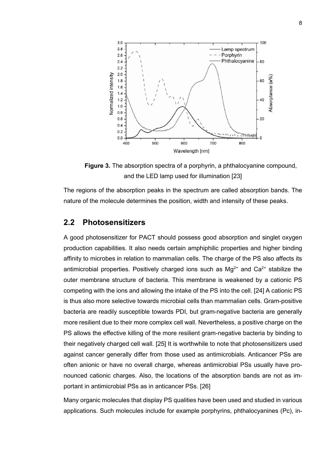

**Figure 3.** The absorption spectra of a porphyrin, a phthalocyanine compound, and the LED lamp used for illumination [23]

The regions of the absorption peaks in the spectrum are called absorption bands. The nature of the molecule determines the position, width and intensity of these peaks.

#### <span id="page-12-0"></span>**2.2 Photosensitizers**

A good photosensitizer for PACT should possess good absorption and singlet oxygen production capabilities. It also needs certain amphiphilic properties and higher binding affinity to microbes in relation to mammalian cells. The charge of the PS also affects its antimicrobial properties. Positively charged ions such as  $Mg^{2+}$  and  $Ca^{2+}$  stabilize the outer membrane structure of bacteria. This membrane is weakened by a cationic PS competing with the ions and allowing the intake of the PS into the cell. [24] A cationic PS is thus also more selective towards microbial cells than mammalian cells. Gram-positive bacteria are readily susceptible towards PDI, but gram-negative bacteria are generally more resilient due to their more complex cell wall. Nevertheless, a positive charge on the PS allows the effective killing of the more resilient gram-negative bacteria by binding to their negatively charged cell wall. [25] It is worthwhile to note that photosensitizers used against cancer generally differ from those used as antimicrobials. Anticancer PSs are often anionic or have no overall charge, whereas antimicrobial PSs usually have pronounced cationic charges. Also, the locations of the absorption bands are not as important in antimicrobial PSs as in anticancer PSs. [26]

Many organic molecules that display PS qualities have been used and studied in various applications. Such molecules include for example porphyrins, phthalocyanines (Pc), in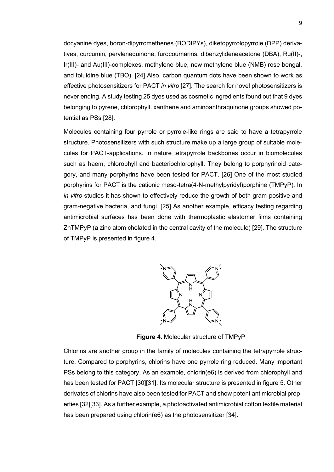docyanine dyes, boron-dipyrromethenes (BODIPYs), diketopyrrolopyrrole (DPP) derivatives, curcumin, perylenequinone, furocoumarins, dibenzylideneacetone (DBA), Ru(II)-, Ir(III)- and Au(III)-complexes, methylene blue, new methylene blue (NMB) rose bengal, and toluidine blue (TBO). [24] Also, carbon quantum dots have been shown to work as effective photosensitizers for PACT *in vitro* [27]. The search for novel photosensitizers is never ending. A study testing 25 dyes used as cosmetic ingredients found out that 9 dyes belonging to pyrene, chlorophyll, xanthene and aminoanthraquinone groups showed potential as PSs [28].

Molecules containing four pyrrole or pyrrole-like rings are said to have a tetrapyrrole structure. Photosensitizers with such structure make up a large group of suitable molecules for PACT-applications. In nature tetrapyrrole backbones occur in biomolecules such as haem, chlorophyll and bacteriochlorophyll. They belong to porphyrinoid category, and many porphyrins have been tested for PACT. [26] One of the most studied porphyrins for PACT is the cationic meso-tetra(4-N-methylpyridyl)porphine (TMPyP). In *in vitro* studies it has shown to effectively reduce the growth of both gram-positive and gram-negative bacteria, and fungi. [25] As another example, efficacy testing regarding antimicrobial surfaces has been done with thermoplastic elastomer films containing ZnTMPyP (a zinc atom chelated in the central cavity of the molecule) [29]. The structure of TMPyP is presented in figure 4.



**Figure 4.** Molecular structure of TMPyP

Chlorins are another group in the family of molecules containing the tetrapyrrole structure. Compared to porphyrins, chlorins have one pyrrole ring reduced. Many important PSs belong to this category. As an example, chlorin(e6) is derived from chlorophyll and has been tested for PACT [30][31]. Its molecular structure is presented in figure 5. Other derivates of chlorins have also been tested for PACT and show potent antimicrobial properties [32][33]. As a further example, a photoactivated antimicrobial cotton textile material has been prepared using chlorin(e6) as the photosensitizer [34].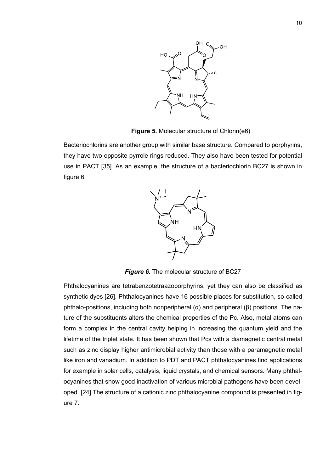

**Figure 5.** Molecular structure of Chlorin(e6)

Bacteriochlorins are another group with similar base structure. Compared to porphyrins, they have two opposite pyrrole rings reduced. They also have been tested for potential use in PACT [35]. As an example, the structure of a bacteriochlorin BC27 is shown in figure 6.



*Figure 6.* The molecular structure of BC27

Phthalocyanines are tetrabenzotetraazoporphyrins, yet they can also be classified as synthetic dyes [26]. Phthalocyanines have 16 possible places for substitution, so-called phthalo-positions, including both nonperipheral (α) and peripheral (β) positions. The nature of the substituents alters the chemical properties of the Pc. Also, metal atoms can form a complex in the central cavity helping in increasing the quantum yield and the lifetime of the triplet state. It has been shown that Pcs with a diamagnetic central metal such as zinc display higher antimicrobial activity than those with a paramagnetic metal like iron and vanadium. In addition to PDT and PACT phthalocyanines find applications for example in solar cells, catalysis, liquid crystals, and chemical sensors. Many phthalocyanines that show good inactivation of various microbial pathogens have been developed. [24] The structure of a cationic zinc phthalocyanine compound is presented in figure 7.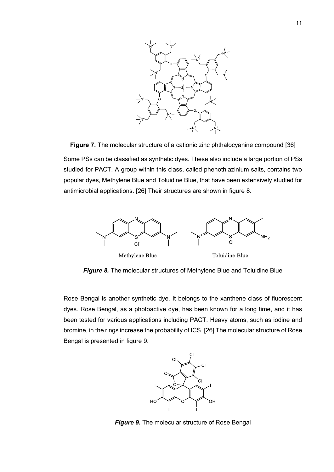

**Figure 7.** The molecular structure of a cationic zinc phthalocyanine compound [36] Some PSs can be classified as synthetic dyes. These also include a large portion of PSs studied for PACT. A group within this class, called phenothiazinium salts, contains two popular dyes, Methylene Blue and Toluidine Blue, that have been extensively studied for antimicrobial applications. [26] Their structures are shown in figure 8.



*Figure 8.* The molecular structures of Methylene Blue and Toluidine Blue

Rose Bengal is another synthetic dye. It belongs to the xanthene class of fluorescent dyes. Rose Bengal, as a photoactive dye, has been known for a long time, and it has been tested for various applications including PACT. Heavy atoms, such as iodine and bromine, in the rings increase the probability of ICS. [26] The molecular structure of Rose Bengal is presented in figure 9.



*Figure 9.* The molecular structure of Rose Bengal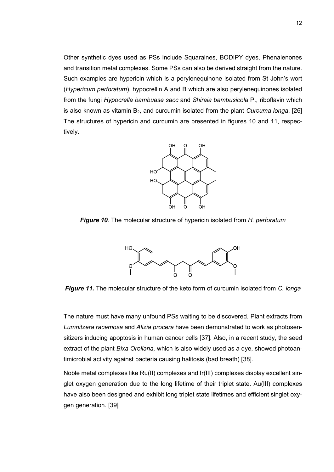Other synthetic dyes used as PSs include Squaraines, BODIPY dyes, Phenalenones and transition metal complexes. Some PSs can also be derived straight from the nature. Such examples are hypericin which is a perylenequinone isolated from St John's wort (*Hypericum perforatum*), hypocrellin A and B which are also perylenequinones isolated from the fungi *Hypocrella bambuase sacc* and *Shiraia bambusicola* P., riboflavin which is also known as vitamin B<sub>2</sub>, and curcumin isolated from the plant *Curcuma longa*. [26] The structures of hypericin and curcumin are presented in figures 10 and 11, respectively.



*Figure 10*. The molecular structure of hypericin isolated from *H. perforatum*



*Figure 11.* The molecular structure of the keto form of curcumin isolated from *C. longa*

The nature must have many unfound PSs waiting to be discovered. Plant extracts from *Lumnitzera racemosa* and *Alizia procera* have been demonstrated to work as photosensitizers inducing apoptosis in human cancer cells [37]. Also, in a recent study, the seed extract of the plant *Bixa Orellana,* which is also widely used as a dye, showed photoantimicrobial activity against bacteria causing halitosis (bad breath) [38].

Noble metal complexes like Ru(II) complexes and Ir(III) complexes display excellent singlet oxygen generation due to the long lifetime of their triplet state. Au(III) complexes have also been designed and exhibit long triplet state lifetimes and efficient singlet oxygen generation. [39]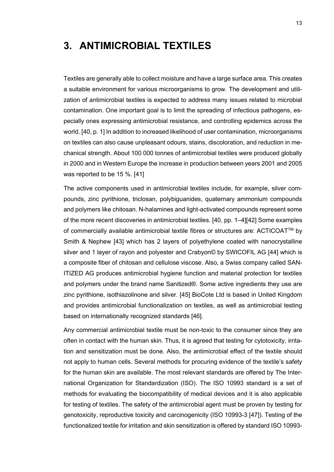## <span id="page-17-0"></span>**3. ANTIMICROBIAL TEXTILES**

Textiles are generally able to collect moisture and have a large surface area. This creates a suitable environment for various microorganisms to grow. The development and utilization of antimicrobial textiles is expected to address many issues related to microbial contamination. One important goal is to limit the spreading of infectious pathogens, especially ones expressing antimicrobial resistance, and controlling epidemics across the world. [40, p. 1] In addition to increased likelihood of user contamination, microorganisms on textiles can also cause unpleasant odours, stains, discoloration, and reduction in mechanical strength. About 100 000 tonnes of antimicrobial textiles were produced globally in 2000 and in Western Europe the increase in production between years 2001 and 2005 was reported to be 15 %. [41]

The active components used in antimicrobial textiles include, for example, silver compounds, zinc pyrithione, triclosan, polybiguanides, quaternary ammonium compounds and polymers like chitosan. N-halamines and light-activated compounds represent some of the more recent discoveries in antimicrobial textiles. [40, pp. 1–4][42] Some examples of commercially available antimicrobial textile fibres or structures are: ACTICOAT™ by Smith & Nephew [43] which has 2 layers of polyethylene coated with nanocrystalline silver and 1 layer of rayon and polyester and Crabyon© by SWICOFIL AG [44] which is a composite fiber of chitosan and cellulose viscose. Also, a Swiss company called SAN-ITIZED AG produces antimicrobial hygiene function and material protection for textiles and polymers under the brand name Sanitized®. Some active ingredients they use are zinc pyrithione, isothiazolinone and silver. [45] BioCote Ltd is based in United Kingdom and provides antimicrobial functionalization on textiles, as well as antimicrobial testing based on internationally recognized standards [46].

Any commercial antimicrobial textile must be non-toxic to the consumer since they are often in contact with the human skin. Thus, it is agreed that testing for cytotoxicity, irritation and sensitization must be done. Also, the antimicrobial effect of the textile should not apply to human cells. Several methods for procuring evidence of the textile's safety for the human skin are available. The most relevant standards are offered by The International Organization for Standardization (ISO). The ISO 10993 standard is a set of methods for evaluating the biocompatibility of medical devices and it is also applicable for testing of textiles. The safety of the antimicrobial agent must be proven by testing for genotoxicity, reproductive toxicity and carcinogenicity (ISO 10993-3 [47]). Testing of the functionalized textile for irritation and skin sensitization is offered by standard ISO 10993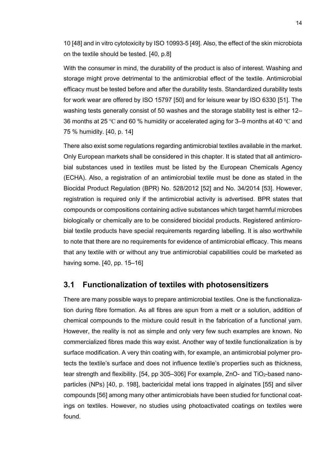10 [48] and in vitro cytotoxicity by ISO 10993-5 [49]. Also, the effect of the skin microbiota on the textile should be tested. [40, p.8]

With the consumer in mind, the durability of the product is also of interest. Washing and storage might prove detrimental to the antimicrobial effect of the textile. Antimicrobial efficacy must be tested before and after the durability tests. Standardized durability tests for work wear are offered by ISO 15797 [50] and for leisure wear by ISO 6330 [51]. The washing tests generally consist of 50 washes and the storage stability test is either 12– 36 months at 25 °C and 60 % humidity or accelerated aging for 3–9 months at 40 °C and 75 % humidity. [40, p. 14]

There also exist some regulations regarding antimicrobial textiles available in the market. Only European markets shall be considered in this chapter. It is stated that all antimicrobial substances used in textiles must be listed by the European Chemicals Agency (ECHA). Also, a registration of an antimicrobial textile must be done as stated in the Biocidal Product Regulation (BPR) No. 528/2012 [52] and No. 34/2014 [53]. However, registration is required only if the antimicrobial activity is advertised. BPR states that compounds or compositions containing active substances which target harmful microbes biologically or chemically are to be considered biocidal products. Registered antimicrobial textile products have special requirements regarding labelling. It is also worthwhile to note that there are no requirements for evidence of antimicrobial efficacy. This means that any textile with or without any true antimicrobial capabilities could be marketed as having some. [40, pp. 15-16]

#### <span id="page-18-0"></span>**3.1 Functionalization of textiles with photosensitizers**

There are many possible ways to prepare antimicrobial textiles. One is the functionalization during fibre formation. As all fibres are spun from a melt or a solution, addition of chemical compounds to the mixture could result in the fabrication of a functional yarn. However, the reality is not as simple and only very few such examples are known. No commercialized fibres made this way exist. Another way of textile functionalization is by surface modification. A very thin coating with, for example, an antimicrobial polymer protects the textile's surface and does not influence textile's properties such as thickness, tear strength and flexibility.  $[54, pp 305–306]$  For example, ZnO- and TiO<sub>2</sub>-based nanoparticles (NPs) [40, p. 198], bactericidal metal ions trapped in alginates [55] and silver compounds [56] among many other antimicrobials have been studied for functional coatings on textiles. However, no studies using photoactivated coatings on textiles were found.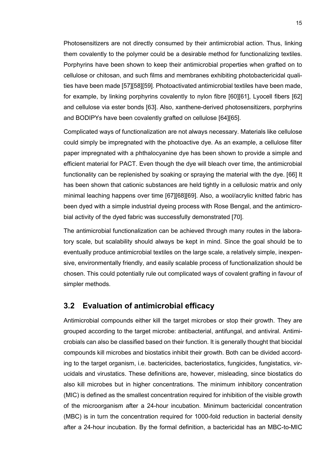Photosensitizers are not directly consumed by their antimicrobial action. Thus, linking them covalently to the polymer could be a desirable method for functionalizing textiles. Porphyrins have been shown to keep their antimicrobial properties when grafted on to cellulose or chitosan, and such films and membranes exhibiting photobactericidal qualities have been made [57][58][59]. Photoactivated antimicrobial textiles have been made, for example, by linking porphyrins covalently to nylon fibre [60][61], Lyocell fibers [62] and cellulose via ester bonds [63]. Also, xanthene-derived photosensitizers, porphyrins and BODIPYs have been covalently grafted on cellulose [64][65].

Complicated ways of functionalization are not always necessary. Materials like cellulose could simply be impregnated with the photoactive dye. As an example, a cellulose filter paper impregnated with a phthalocyanine dye has been shown to provide a simple and efficient material for PACT. Even though the dye will bleach over time, the antimicrobial functionality can be replenished by soaking or spraying the material with the dye. [66] It has been shown that cationic substances are held tightly in a cellulosic matrix and only minimal leaching happens over time [67][68][69]. Also, a wool/acrylic knitted fabric has been dyed with a simple industrial dyeing process with Rose Bengal, and the antimicrobial activity of the dyed fabric was successfully demonstrated [70].

The antimicrobial functionalization can be achieved through many routes in the laboratory scale, but scalability should always be kept in mind. Since the goal should be to eventually produce antimicrobial textiles on the large scale, a relatively simple, inexpensive, environmentally friendly, and easily scalable process of functionalization should be chosen. This could potentially rule out complicated ways of covalent grafting in favour of simpler methods.

#### <span id="page-19-0"></span>**3.2 Evaluation of antimicrobial efficacy**

Antimicrobial compounds either kill the target microbes or stop their growth. They are grouped according to the target microbe: antibacterial, antifungal, and antiviral. Antimicrobials can also be classified based on their function. It is generally thought that biocidal compounds kill microbes and biostatics inhibit their growth. Both can be divided according to the target organism, i.e. bactericides, bacteriostatics, fungicides, fungistatics, virucidals and virustatics. These definitions are, however, misleading, since biostatics do also kill microbes but in higher concentrations. The minimum inhibitory concentration (MIC) is defined as the smallest concentration required for inhibition of the visible growth of the microorganism after a 24-hour incubation. Minimum bactericidal concentration (MBC) is in turn the concentration required for 1000-fold reduction in bacterial density after a 24-hour incubation. By the formal definition, a bactericidal has an MBC-to-MIC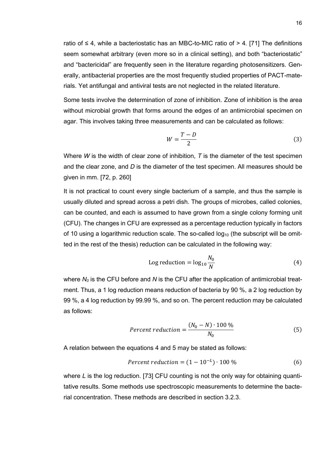ratio of  $\leq 4$ , while a bacteriostatic has an MBC-to-MIC ratio of  $> 4$ . [71] The definitions seem somewhat arbitrary (even more so in a clinical setting), and both "bacteriostatic" and "bactericidal" are frequently seen in the literature regarding photosensitizers. Generally, antibacterial properties are the most frequently studied properties of PACT-materials. Yet antifungal and antiviral tests are not neglected in the related literature.

Some tests involve the determination of zone of inhibition. Zone of inhibition is the area without microbial growth that forms around the edges of an antimicrobial specimen on agar. This involves taking three measurements and can be calculated as follows:

$$
W = \frac{T - D}{2} \tag{3}
$$

Where *W* is the width of clear zone of inhibition, *T* is the diameter of the test specimen and the clear zone, and *D* is the diameter of the test specimen. All measures should be given in mm. [72, p. 260]

It is not practical to count every single bacterium of a sample, and thus the sample is usually diluted and spread across a petri dish. The groups of microbes, called colonies, can be counted, and each is assumed to have grown from a single colony forming unit (CFU). The changes in CFU are expressed as a percentage reduction typically in factors of 10 using a logarithmic reduction scale. The so-called  $log_{10}$  (the subscript will be omitted in the rest of the thesis) reduction can be calculated in the following way:

Log reduction = 
$$
\log_{10} \frac{N_0}{N}
$$
 (4)

where *N<sup>0</sup>* is the CFU before and *N* is the CFU after the application of antimicrobial treatment. Thus, a 1 log reduction means reduction of bacteria by 90 %, a 2 log reduction by 99 %, a 4 log reduction by 99.99 %, and so on. The percent reduction may be calculated as follows:

$$
Percent reduction = \frac{(N_0 - N) \cdot 100\%}{N_0}
$$
\n(5)

A relation between the equations 4 and 5 may be stated as follows:

$$
Percent reduction = (1 - 10^{-L}) \cdot 100\% \tag{6}
$$

where *L* is the log reduction. [73] CFU counting is not the only way for obtaining quantitative results. Some methods use spectroscopic measurements to determine the bacterial concentration. These methods are described in section 3.2.3.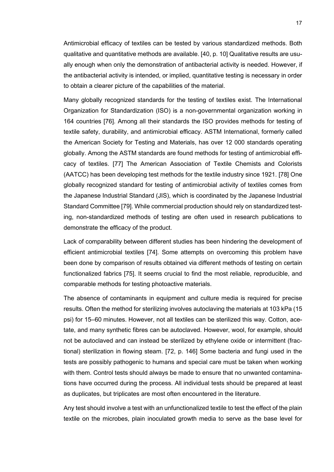Antimicrobial efficacy of textiles can be tested by various standardized methods. Both qualitative and quantitative methods are available. [40, p. 10] Qualitative results are usually enough when only the demonstration of antibacterial activity is needed. However, if the antibacterial activity is intended, or implied, quantitative testing is necessary in order to obtain a clearer picture of the capabilities of the material.

Many globally recognized standards for the testing of textiles exist. The International Organization for Standardization (ISO) is a non-governmental organization working in 164 countries [76]. Among all their standards the ISO provides methods for testing of textile safety, durability, and antimicrobial efficacy. ASTM International, formerly called the American Society for Testing and Materials, has over 12 000 standards operating globally. Among the ASTM standards are found methods for testing of antimicrobial efficacy of textiles. [77] The American Association of Textile Chemists and Colorists (AATCC) has been developing test methods for the textile industry since 1921. [78] One globally recognized standard for testing of antimicrobial activity of textiles comes from the Japanese Industrial Standard (JIS), which is coordinated by the Japanese Industrial Standard Committee [79]. While commercial production should rely on standardized testing, non-standardized methods of testing are often used in research publications to demonstrate the efficacy of the product.

Lack of comparability between different studies has been hindering the development of efficient antimicrobial textiles [74]. Some attempts on overcoming this problem have been done by comparison of results obtained via different methods of testing on certain functionalized fabrics [75]. It seems crucial to find the most reliable, reproducible, and comparable methods for testing photoactive materials.

The absence of contaminants in equipment and culture media is required for precise results. Often the method for sterilizing involves autoclaving the materials at 103 kPa (15 psi) for 15‒60 minutes. However, not all textiles can be sterilized this way. Cotton, acetate, and many synthetic fibres can be autoclaved. However, wool, for example, should not be autoclaved and can instead be sterilized by ethylene oxide or intermittent (fractional) sterilization in flowing steam. [72, p. 146] Some bacteria and fungi used in the tests are possibly pathogenic to humans and special care must be taken when working with them. Control tests should always be made to ensure that no unwanted contaminations have occurred during the process. All individual tests should be prepared at least as duplicates, but triplicates are most often encountered in the literature.

Any test should involve a test with an unfunctionalized textile to test the effect of the plain textile on the microbes, plain inoculated growth media to serve as the base level for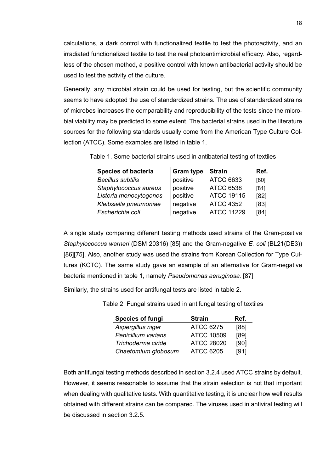calculations, a dark control with functionalized textile to test the photoactivity, and an irradiated functionalized textile to test the real photoantimicrobial efficacy. Also, regardless of the chosen method, a positive control with known antibacterial activity should be used to test the activity of the culture.

Generally, any microbial strain could be used for testing, but the scientific community seems to have adopted the use of standardized strains. The use of standardized strains of microbes increases the comparability and reproducibility of the tests since the microbial viability may be predicted to some extent. The bacterial strains used in the literature sources for the following standards usually come from the American Type Culture Collection (ATCC). Some examples are listed in table 1.

Table 1. Some bacterial strains used in antibaterial testing of textiles

| <b>Species of bacteria</b> | <b>Gram type</b> | <b>Strain</b>     | Ref. |
|----------------------------|------------------|-------------------|------|
| <b>Bacillus subtilis</b>   | positive         | <b>ATCC 6633</b>  | [80] |
| Staphylococcus aureus      | positive         | <b>ATCC 6538</b>  | [81] |
| Listeria monocytogenes     | positive         | <b>ATCC 19115</b> | [82] |
| Kleibsiella pneumoniae     | negative         | <b>ATCC 4352</b>  | [83] |
| Escherichia coli           | negative         | <b>ATCC 11229</b> | [84] |

A single study comparing different testing methods used strains of the Gram-positive *Staphylococcus warneri* (DSM 20316) [85] and the Gram-negative *E. coli* (BL21(DE3)) [86][75]. Also, another study was used the strains from Korean Collection for Type Cultures (KCTC). The same study gave an example of an alternative for Gram-negative bacteria mentioned in table 1, namely *Pseudomonas aeruginosa.* [87]

Similarly, the strains used for antifungal tests are listed in table 2.

Table 2. Fungal strains used in antifungal testing of textiles

| <b>Species of fungi</b> | <b>Strain</b>     | Ref. |
|-------------------------|-------------------|------|
| Aspergillus niger       | <b>ATCC 6275</b>  | [88] |
| Penicillium varians     | <b>ATCC 10509</b> | [89] |
| Trichoderma ciride      | <b>ATCC 28020</b> | [90] |
| Chaetomium globosum     | <b>ATCC 6205</b>  | [91] |

Both antifungal testing methods described in section 3.2.4 used ATCC strains by default. However, it seems reasonable to assume that the strain selection is not that important when dealing with qualitative tests. With quantitative testing, it is unclear how well results obtained with different strains can be compared. The viruses used in antiviral testing will be discussed in section 3.2.5.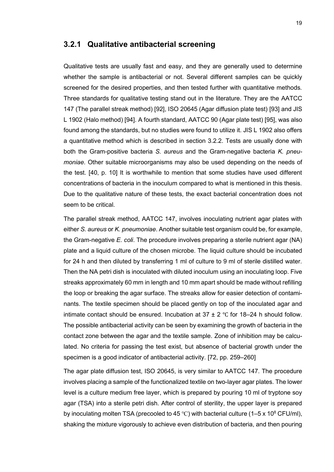#### <span id="page-23-0"></span>**3.2.1 Qualitative antibacterial screening**

Qualitative tests are usually fast and easy, and they are generally used to determine whether the sample is antibacterial or not. Several different samples can be quickly screened for the desired properties, and then tested further with quantitative methods. Three standards for qualitative testing stand out in the literature. They are the AATCC 147 (The parallel streak method) [92], ISO 20645 (Agar diffusion plate test) [93] and JIS L 1902 (Halo method) [94]. A fourth standard, AATCC 90 (Agar plate test) [95], was also found among the standards, but no studies were found to utilize it. JIS L 1902 also offers a quantitative method which is described in section 3.2.2. Tests are usually done with both the Gram-positive bacteria *S. aureus* and the Gram-negative bacteria *K. pneumoniae*. Other suitable microorganisms may also be used depending on the needs of the test. [40, p. 10] It is worthwhile to mention that some studies have used different concentrations of bacteria in the inoculum compared to what is mentioned in this thesis. Due to the qualitative nature of these tests, the exact bacterial concentration does not seem to be critical.

The parallel streak method, AATCC 147, involves inoculating nutrient agar plates with either *S. aureus* or *K. pneumoniae*. Another suitable test organism could be, for example, the Gram-negative *E. coli*. The procedure involves preparing a sterile nutrient agar (NA) plate and a liquid culture of the chosen microbe. The liquid culture should be incubated for 24 h and then diluted by transferring 1 ml of culture to 9 ml of sterile distilled water. Then the NA petri dish is inoculated with diluted inoculum using an inoculating loop. Five streaks approximately 60 mm in length and 10 mm apart should be made without refilling the loop or breaking the agar surface. The streaks allow for easier detection of contaminants. The textile specimen should be placed gently on top of the inoculated agar and intimate contact should be ensured. Incubation at  $37 \pm 2$  °C for 18–24 h should follow. The possible antibacterial activity can be seen by examining the growth of bacteria in the contact zone between the agar and the textile sample. Zone of inhibition may be calculated. No criteria for passing the test exist, but absence of bacterial growth under the specimen is a good indicator of antibacterial activity. [72, pp. 259–260]

The agar plate diffusion test, ISO 20645, is very similar to AATCC 147. The procedure involves placing a sample of the functionalized textile on two-layer agar plates. The lower level is a culture medium free layer, which is prepared by pouring 10 ml of tryptone soy agar (TSA) into a sterile petri dish. After control of sterility, the upper layer is prepared by inoculating molten TSA (precooled to 45 °C) with bacterial culture (1–5 x 10<sup>8</sup> CFU/ml), shaking the mixture vigorously to achieve even distribution of bacteria, and then pouring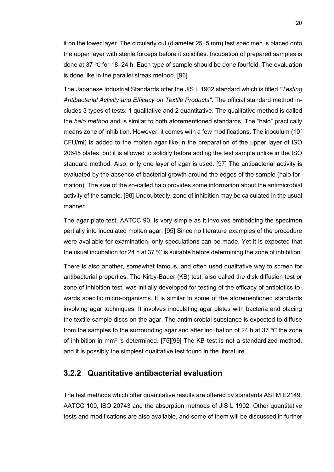it on the lower layer. The circularly cut (diameter 25±5 mm) test specimen is placed onto the upper layer with sterile forceps before it solidifies. Incubation of prepared samples is done at 37 °C for 18–24 h. Each type of sample should be done fourfold. The evaluation is done like in the parallel streak method. [96]

The Japanese Industrial Standards offer the JIS L 1902 standard which is titled *"Testing Antibacterial Activity and Efficacy on Textile Products"*. The official standard method includes 3 types of tests: 1 qualitative and 2 quantitative. The qualitative method is called the *halo method* and is similar to both aforementioned standards. The "halo" practically means zone of inhibition. However, it comes with a few modifications. The inoculum (10<sup>7</sup> CFU/ml) is added to the molten agar like in the preparation of the upper layer of ISO 20645 plates, but it is allowed to solidify before adding the test sample unlike in the ISO standard method. Also, only one layer of agar is used. [97] The antibacterial activity is evaluated by the absence of bacterial growth around the edges of the sample (halo formation). The size of the so-called halo provides some information about the antimicrobial activity of the sample. [98] Undoubtedly, zone of inhibition may be calculated in the usual manner.

The agar plate test, AATCC 90, is very simple as it involves embedding the specimen partially into inoculated molten agar. [95] Since no literature examples of the procedure were available for examination, only speculations can be made. Yet it is expected that the usual incubation for 24 h at 37 ℃ is suitable before determining the zone of inhibition.

There is also another, somewhat famous, and often used qualitative way to screen for antibacterial properties. The Kirby-Bauer (KB) test, also called the disk diffusion test or zone of inhibition test, was initially developed for testing of the efficacy of antibiotics towards specific micro-organisms. It is similar to some of the aforementioned standards involving agar techniques. It involves inoculating agar plates with bacteria and placing the textile sample discs on the agar. The antimicrobial substance is expected to diffuse from the samples to the surrounding agar and after incubation of 24 h at 37 °C the zone of inhibition in mm<sup>2</sup> is determined. [75][99] The KB test is not a standardized method, and it is possibly the simplest qualitative test found in the literature.

#### <span id="page-24-0"></span>**3.2.2 Quantitative antibacterial evaluation**

The test methods which offer quantitative results are offered by standards ASTM E2149, AATCC 100, ISO 20743 and the absorption methods of JIS L 1902. Other quantitative tests and modifications are also available, and some of them will be discussed in further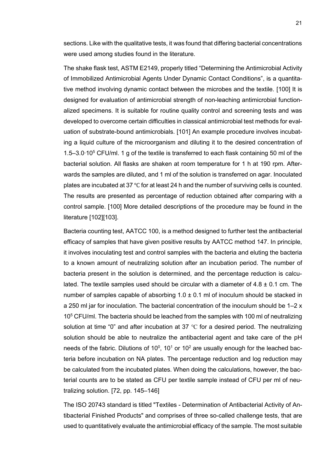sections. Like with the qualitative tests, it was found that differing bacterial concentrations were used among studies found in the literature.

The shake flask test, ASTM E2149, properly titled "Determining the Antimicrobial Activity of Immobilized Antimicrobial Agents Under Dynamic Contact Conditions", is a quantitative method involving dynamic contact between the microbes and the textile. [100] It is designed for evaluation of antimicrobial strength of non-leaching antimicrobial functionalized specimens. It is suitable for routine quality control and screening tests and was developed to overcome certain difficulties in classical antimicrobial test methods for evaluation of substrate-bound antimicrobials. [101] An example procedure involves incubating a liquid culture of the microorganism and diluting it to the desired concentration of 1.5‒3.0∙10<sup>5</sup> CFU/ml. 1 g of the textile is transferred to each flask containing 50 ml of the bacterial solution. All flasks are shaken at room temperature for 1 h at 190 rpm. Afterwards the samples are diluted, and 1 ml of the solution is transferred on agar. Inoculated plates are incubated at 37 ℃ for at least 24 h and the number of surviving cells is counted. The results are presented as percentage of reduction obtained after comparing with a control sample. [100] More detailed descriptions of the procedure may be found in the literature [102][103].

Bacteria counting test, AATCC 100, is a method designed to further test the antibacterial efficacy of samples that have given positive results by AATCC method 147. In principle, it involves inoculating test and control samples with the bacteria and eluting the bacteria to a known amount of neutralizing solution after an incubation period. The number of bacteria present in the solution is determined, and the percentage reduction is calculated. The textile samples used should be circular with a diameter of  $4.8 \pm 0.1$  cm. The number of samples capable of absorbing  $1.0 \pm 0.1$  ml of inoculum should be stacked in a 250 ml jar for inoculation. The bacterial concentration of the inoculum should be  $1-2x$ 10<sup>5</sup> CFU/ml. The bacteria should be leached from the samples with 100 ml of neutralizing solution at time "0" and after incubation at 37 ℃ for a desired period. The neutralizing solution should be able to neutralize the antibacterial agent and take care of the pH needs of the fabric. Dilutions of 10<sup>0</sup>, 10<sup>1</sup> or 10<sup>2</sup> are usually enough for the leached bacteria before incubation on NA plates. The percentage reduction and log reduction may be calculated from the incubated plates. When doing the calculations, however, the bacterial counts are to be stated as CFU per textile sample instead of CFU per ml of neutralizing solution.  $[72, pp. 145-146]$ 

The ISO 20743 standard is titled "Textiles - Determination of Antibacterial Activity of Antibacterial Finished Products" and comprises of three so-called challenge tests, that are used to quantitatively evaluate the antimicrobial efficacy of the sample. The most suitable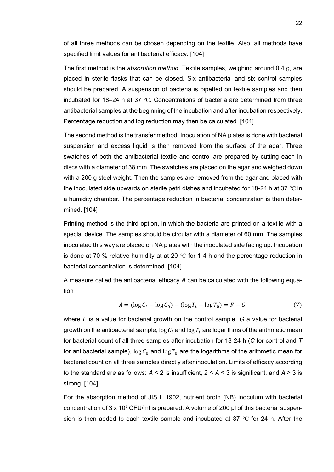of all three methods can be chosen depending on the textile. Also, all methods have specified limit values for antibacterial efficacy. [104]

The first method is the *absorption method*. Textile samples, weighing around 0.4 g, are placed in sterile flasks that can be closed. Six antibacterial and six control samples should be prepared. A suspension of bacteria is pipetted on textile samples and then incubated for 18‒24 h at 37 ℃. Concentrations of bacteria are determined from three antibacterial samples at the beginning of the incubation and after incubation respectively. Percentage reduction and log reduction may then be calculated. [104]

The second method is the transfer method. Inoculation of NA plates is done with bacterial suspension and excess liquid is then removed from the surface of the agar. Three swatches of both the antibacterial textile and control are prepared by cutting each in discs with a diameter of 38 mm. The swatches are placed on the agar and weighed down with a 200 g steel weight. Then the samples are removed from the agar and placed with the inoculated side upwards on sterile petri dishes and incubated for 18-24 h at 37 ℃ in a humidity chamber. The percentage reduction in bacterial concentration is then determined. [104]

Printing method is the third option, in which the bacteria are printed on a textile with a special device. The samples should be circular with a diameter of 60 mm. The samples inoculated this way are placed on NA plates with the inoculated side facing up. Incubation is done at 70 % relative humidity at at 20  $^{\circ}$ C for 1-4 h and the percentage reduction in bacterial concentration is determined. [104]

A measure called the antibacterial efficacy *A* can be calculated with the following equation

$$
A = (\log C_t - \log C_0) - (\log T_t - \log T_0) = F - G \tag{7}
$$

where *F* is a value for bacterial growth on the control sample, *G* a value for bacterial growth on the antibacterial sample,  $\log C_t$  and  $\log T_t$  are logarithms of the arithmetic mean for bacterial count of all three samples after incubation for 18-24 h (*C* for control and *T* for antibacterial sample),  $\log C_0$  and  $\log T_0$  are the logarithms of the arithmetic mean for bacterial count on all three samples directly after inoculation. Limits of efficacy according to the standard are as follows:  $A \le 2$  is insufficient,  $2 \le A \le 3$  is significant, and  $A \ge 3$  is strong. [104]

For the absorption method of JIS L 1902, nutrient broth (NB) inoculum with bacterial concentration of  $3 \times 10^5$  CFU/ml is prepared. A volume of 200 μl of this bacterial suspension is then added to each textile sample and incubated at 37 °C for 24 h. After the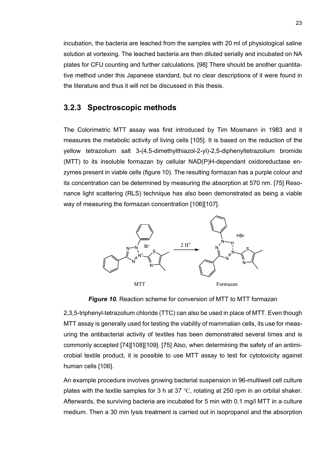incubation, the bacteria are leached from the samples with 20 ml of physiological saline solution at vortexing. The leached bacteria are then diluted serially and incubated on NA plates for CFU counting and further calculations. [98] There should be another quantitative method under this Japanese standard, but no clear descriptions of it were found in the literature and thus it will not be discussed in this thesis.

#### <span id="page-27-0"></span>**3.2.3 Spectroscopic methods**

The Colorimetric MTT assay was first introduced by Tim Mosmann in 1983 and it measures the metabolic activity of living cells [105]. It is based on the reduction of the yellow tetrazolium salt 3-(4,5-dimethylthiazol-2-yl)-2,5-diphenyltetrazolium bromide (MTT) to its insoluble formazan by cellular NAD(P)H-dependant oxidoreductase enzymes present in viable cells (figure 10). The resulting formazan has a purple colour and its concentration can be determined by measuring the absorption at 570 nm. [75] Resonance light scattering (RLS) technique has also been demonstrated as being a viable way of measuring the formazan concentration [106][107].



*Figure 10.* Reaction scheme for conversion of MTT to MTT formazan

2,3,5-triphenyl-tetrazolium chloride (TTC) can also be used in place of MTT. Even though MTT assay is generally used for testing the viability of mammalian cells, its use for measuring the antibacterial activity of textiles has been demonstrated several times and is commonly accepted [74][108][109]. [75] Also, when determining the safety of an antimicrobial textile product, it is possible to use MTT assay to test for cytotoxicity against human cells [106].

An example procedure involves growing bacterial suspension in 96-multiwell cell culture plates with the textile samples for 3 h at 37 ℃, rotating at 250 rpm in an orbital shaker. Afterwards, the surviving bacteria are incubated for 5 min with 0.1 mg/l MTT in a culture medium. Then a 30 min lysis treatment is carried out in isopropanol and the absorption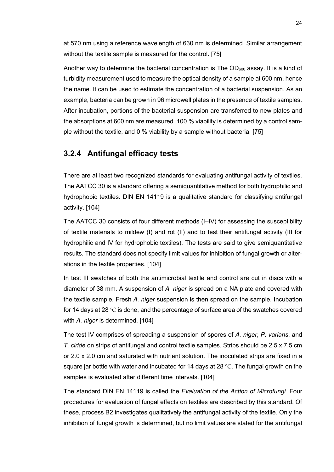at 570 nm using a reference wavelength of 630 nm is determined. Similar arrangement without the textile sample is measured for the control. [75]

Another way to determine the bacterial concentration is The  $OD<sub>600</sub>$  assay. It is a kind of turbidity measurement used to measure the optical density of a sample at 600 nm, hence the name. It can be used to estimate the concentration of a bacterial suspension. As an example, bacteria can be grown in 96 microwell plates in the presence of textile samples. After incubation, portions of the bacterial suspension are transferred to new plates and the absorptions at 600 nm are measured. 100 % viability is determined by a control sample without the textile, and 0 % viability by a sample without bacteria. [75]

#### <span id="page-28-0"></span>**3.2.4 Antifungal efficacy tests**

There are at least two recognized standards for evaluating antifungal activity of textiles. The AATCC 30 is a standard offering a semiquantitative method for both hydrophilic and hydrophobic textiles. DIN EN 14119 is a qualitative standard for classifying antifungal activity. [104]

The AATCC 30 consists of four different methods (I–IV) for assessing the susceptibility of textile materials to mildew (I) and rot (II) and to test their antifungal activity (III for hydrophilic and IV for hydrophobic textiles). The tests are said to give semiquantitative results. The standard does not specify limit values for inhibition of fungal growth or alterations in the textile properties. [104]

In test III swatches of both the antimicrobial textile and control are cut in discs with a diameter of 38 mm. A suspension of *A. niger* is spread on a NA plate and covered with the textile sample. Fresh *A. niger* suspension is then spread on the sample. Incubation for 14 days at 28 ℃ is done, and the percentage of surface area of the swatches covered with *A. niger* is determined. [104]

The test IV comprises of spreading a suspension of spores of *A. niger*, *P. varians*, and *T. ciride* on strips of antifungal and control textile samples. Strips should be 2.5 x 7.5 cm or 2.0 x 2.0 cm and saturated with nutrient solution. The inoculated strips are fixed in a square jar bottle with water and incubated for 14 days at 28 °C. The fungal growth on the samples is evaluated after different time intervals. [104]

The standard DIN EN 14119 is called the *Evaluation of the Action of Microfungi*. Four procedures for evaluation of fungal effects on textiles are described by this standard. Of these, process B2 investigates qualitatively the antifungal activity of the textile. Only the inhibition of fungal growth is determined, but no limit values are stated for the antifungal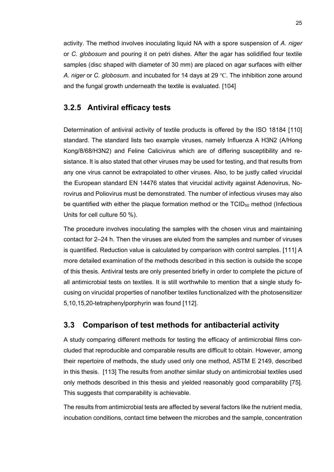activity. The method involves inoculating liquid NA with a spore suspension of *A. niger* or *C. globosum* and pouring it on petri dishes. After the agar has solidified four textile samples (disc shaped with diameter of 30 mm) are placed on agar surfaces with either *A. niger* or *C. globosum*. and incubated for 14 days at 29 ℃. The inhibition zone around and the fungal growth underneath the textile is evaluated. [104]

#### <span id="page-29-0"></span>**3.2.5 Antiviral efficacy tests**

Determination of antiviral activity of textile products is offered by the ISO 18184 [110] standard. The standard lists two example viruses, namely Influenza A H3N2 (A/Hong Kong/8/68/H3N2) and Feline Calicivirus which are of differing susceptibility and resistance. It is also stated that other viruses may be used for testing, and that results from any one virus cannot be extrapolated to other viruses. Also, to be justly called virucidal the European standard EN 14476 states that virucidal activity against Adenovirus, Norovirus and Poliovirus must be demonstrated. The number of infectious viruses may also be quantified with either the plaque formation method or the  $TCID_{50}$  method (Infectious Units for cell culture 50 %).

The procedure involves inoculating the samples with the chosen virus and maintaining contact for 2–24 h. Then the viruses are eluted from the samples and number of viruses is quantified. Reduction value is calculated by comparison with control samples. [111] A more detailed examination of the methods described in this section is outside the scope of this thesis. Antiviral tests are only presented briefly in order to complete the picture of all antimicrobial tests on textiles. It is still worthwhile to mention that a single study focusing on virucidal properties of nanofiber textiles functionalized with the photosensitizer 5,10,15,20-tetraphenylporphyrin was found [112].

#### <span id="page-29-1"></span>**3.3 Comparison of test methods for antibacterial activity**

A study comparing different methods for testing the efficacy of antimicrobial films concluded that reproducible and comparable results are difficult to obtain. However, among their repertoire of methods, the study used only one method, ASTM E 2149, described in this thesis. [113] The results from another similar study on antimicrobial textiles used only methods described in this thesis and yielded reasonably good comparability [75]. This suggests that comparability is achievable.

The results from antimicrobial tests are affected by several factors like the nutrient media, incubation conditions, contact time between the microbes and the sample, concentration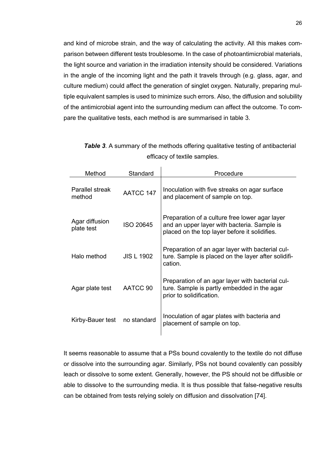and kind of microbe strain, and the way of calculating the activity. All this makes comparison between different tests troublesome. In the case of photoantimicrobial materials, the light source and variation in the irradiation intensity should be considered. Variations in the angle of the incoming light and the path it travels through (e.g. glass, agar, and culture medium) could affect the generation of singlet oxygen. Naturally, preparing multiple equivalent samples is used to minimize such errors. Also, the diffusion and solubility of the antimicrobial agent into the surrounding medium can affect the outcome. To compare the qualitative tests, each method is are summarised in table 3.

| Method                       | Standard          | Procedure                                                                                                                                      |
|------------------------------|-------------------|------------------------------------------------------------------------------------------------------------------------------------------------|
| Parallel streak<br>method    | AATCC 147         | Inoculation with five streaks on agar surface<br>and placement of sample on top.                                                               |
| Agar diffusion<br>plate test | ISO 20645         | Preparation of a culture free lower agar layer<br>and an upper layer with bacteria. Sample is<br>placed on the top layer before it solidifies. |
| Halo method                  | <b>JIS L 1902</b> | Preparation of an agar layer with bacterial cul-<br>ture. Sample is placed on the layer after solidifi-<br>cation.                             |
| Agar plate test              | AATCC 90          | Preparation of an agar layer with bacterial cul-<br>ture. Sample is partly embedded in the agar<br>prior to solidification.                    |
| Kirby-Bauer test             | no standard       | Inoculation of agar plates with bacteria and<br>placement of sample on top.                                                                    |

| <b>Table 3.</b> A summary of the methods offering qualitative testing of antibacterial |
|----------------------------------------------------------------------------------------|
| efficacy of textile samples.                                                           |

It seems reasonable to assume that a PSs bound covalently to the textile do not diffuse or dissolve into the surrounding agar. Similarly, PSs not bound covalently can possibly leach or dissolve to some extent. Generally, however, the PS should not be diffusible or able to dissolve to the surrounding media. It is thus possible that false-negative results can be obtained from tests relying solely on diffusion and dissolvation [74].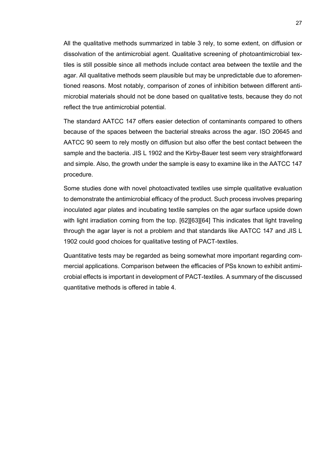All the qualitative methods summarized in table 3 rely, to some extent, on diffusion or dissolvation of the antimicrobial agent. Qualitative screening of photoantimicrobial textiles is still possible since all methods include contact area between the textile and the agar. All qualitative methods seem plausible but may be unpredictable due to aforementioned reasons. Most notably, comparison of zones of inhibition between different antimicrobial materials should not be done based on qualitative tests, because they do not reflect the true antimicrobial potential.

The standard AATCC 147 offers easier detection of contaminants compared to others because of the spaces between the bacterial streaks across the agar. ISO 20645 and AATCC 90 seem to rely mostly on diffusion but also offer the best contact between the sample and the bacteria. JIS L 1902 and the Kirby-Bauer test seem very straightforward and simple. Also, the growth under the sample is easy to examine like in the AATCC 147 procedure.

Some studies done with novel photoactivated textiles use simple qualitative evaluation to demonstrate the antimicrobial efficacy of the product. Such process involves preparing inoculated agar plates and incubating textile samples on the agar surface upside down with light irradiation coming from the top. [62][63][64] This indicates that light traveling through the agar layer is not a problem and that standards like AATCC 147 and JIS L 1902 could good choices for qualitative testing of PACT-textiles.

Quantitative tests may be regarded as being somewhat more important regarding commercial applications. Comparison between the efficacies of PSs known to exhibit antimicrobial effects is important in development of PACT-textiles. A summary of the discussed quantitative methods is offered in table 4.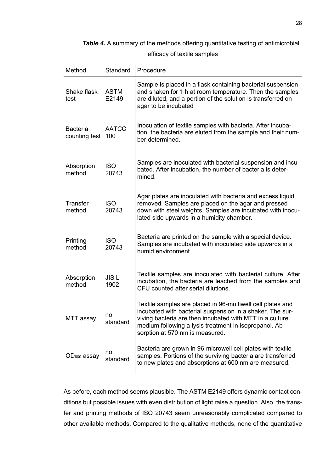**Table 4.** A summary of the methods offering quantitative testing of antimicrobial

efficacy of textile samples

| Method                           | Standard             | Procedure                                                                                                                                                                                                                                                                        |
|----------------------------------|----------------------|----------------------------------------------------------------------------------------------------------------------------------------------------------------------------------------------------------------------------------------------------------------------------------|
| Shake flask<br>test              | <b>ASTM</b><br>E2149 | Sample is placed in a flask containing bacterial suspension<br>and shaken for 1 h at room temperature. Then the samples<br>are diluted, and a portion of the solution is transferred on<br>agar to be incubated                                                                  |
| <b>Bacteria</b><br>counting test | <b>AATCC</b><br>100  | Inoculation of textile samples with bacteria. After incuba-<br>tion, the bacteria are eluted from the sample and their num-<br>ber determined.                                                                                                                                   |
| Absorption<br>method             | <b>ISO</b><br>20743  | Samples are inoculated with bacterial suspension and incu-<br>bated. After incubation, the number of bacteria is deter-<br>mined.                                                                                                                                                |
| <b>Transfer</b><br>method        | <b>ISO</b><br>20743  | Agar plates are inoculated with bacteria and excess liquid<br>removed. Samples are placed on the agar and pressed<br>down with steel weights. Samples are incubated with inocu-<br>lated side upwards in a humidity chamber.                                                     |
| Printing<br>method               | <b>ISO</b><br>20743  | Bacteria are printed on the sample with a special device.<br>Samples are incubated with inoculated side upwards in a<br>humid environment.                                                                                                                                       |
| Absorption<br>method             | <b>JISL</b><br>1902  | Textile samples are inoculated with bacterial culture. After<br>incubation, the bacteria are leached from the samples and<br>CFU counted after serial dilutions.                                                                                                                 |
| MTT assay                        | no<br>standard       | Textile samples are placed in 96-multiwell cell plates and<br>incubated with bacterial suspension in a shaker. The sur-<br>viving bacteria are then incubated with MTT in a culture<br>medium following a lysis treatment in isopropanol. Ab-<br>sorption at 570 nm is measured. |
| $OD600$ assay                    | no<br>standard       | Bacteria are grown in 96-microwell cell plates with textile<br>samples. Portions of the surviving bacteria are transferred<br>to new plates and absorptions at 600 nm are measured.                                                                                              |

As before, each method seems plausible. The ASTM E2149 offers dynamic contact conditions but possible issues with even distribution of light raise a question. Also, the transfer and printing methods of ISO 20743 seem unreasonably complicated compared to other available methods. Compared to the qualitative methods, none of the quantitative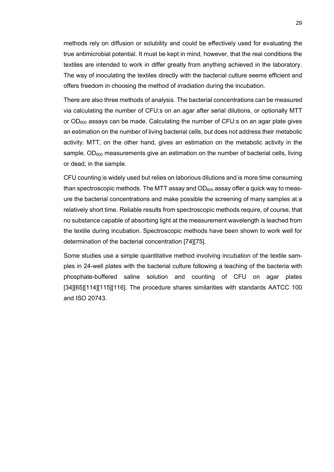methods rely on diffusion or solubility and could be effectively used for evaluating the true antimicrobial potential. It must be kept in mind, however, that the real conditions the textiles are intended to work in differ greatly from anything achieved in the laboratory. The way of inoculating the textiles directly with the bacterial culture seems efficient and offers freedom in choosing the method of irradiation during the incubation.

There are also three methods of analysis. The bacterial concentrations can be measured via calculating the number of CFU:s on an agar after serial dilutions, or optionally MTT or  $OD_{600}$  assays can be made. Calculating the number of CFU:s on an agar plate gives an estimation on the number of living bacterial cells, but does not address their metabolic activity. MTT, on the other hand, gives an estimation on the metabolic activity in the sample.  $OD<sub>600</sub>$  measurements give an estimation on the number of bacterial cells, living or dead, in the sample.

CFU counting is widely used but relies on laborious dilutions and is more time consuming than spectroscopic methods. The MTT assay and  $OD_{600}$  assay offer a quick way to measure the bacterial concentrations and make possible the screening of many samples at a relatively short time. Reliable results from spectroscopic methods require, of course, that no substance capable of absorbing light at the measurement wavelength is leached from the textile during incubation. Spectroscopic methods have been shown to work well for determination of the bacterial concentration [74][75].

Some studies use a simple quantitative method involving incubation of the textile samples in 24-well plates with the bacterial culture following a leaching of the bacteria with phosphate-buffered saline solution and counting of CFU on agar plates [34][65][114][115][116]. The procedure shares similarities with standards AATCC 100 and ISO 20743.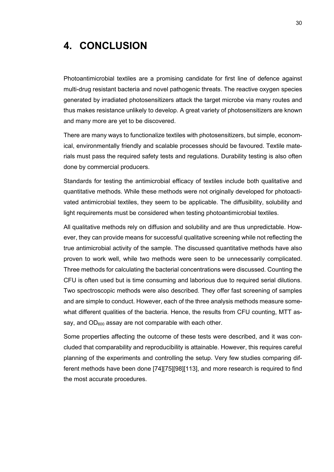## <span id="page-34-0"></span>**4. CONCLUSION**

Photoantimicrobial textiles are a promising candidate for first line of defence against multi-drug resistant bacteria and novel pathogenic threats. The reactive oxygen species generated by irradiated photosensitizers attack the target microbe via many routes and thus makes resistance unlikely to develop. A great variety of photosensitizers are known and many more are yet to be discovered.

There are many ways to functionalize textiles with photosensitizers, but simple, economical, environmentally friendly and scalable processes should be favoured. Textile materials must pass the required safety tests and regulations. Durability testing is also often done by commercial producers.

Standards for testing the antimicrobial efficacy of textiles include both qualitative and quantitative methods. While these methods were not originally developed for photoactivated antimicrobial textiles, they seem to be applicable. The diffusibility, solubility and light requirements must be considered when testing photoantimicrobial textiles.

All qualitative methods rely on diffusion and solubility and are thus unpredictable. However, they can provide means for successful qualitative screening while not reflecting the true antimicrobial activity of the sample. The discussed quantitative methods have also proven to work well, while two methods were seen to be unnecessarily complicated. Three methods for calculating the bacterial concentrations were discussed. Counting the CFU is often used but is time consuming and laborious due to required serial dilutions. Two spectroscopic methods were also described. They offer fast screening of samples and are simple to conduct. However, each of the three analysis methods measure somewhat different qualities of the bacteria. Hence, the results from CFU counting, MTT assay, and  $OD_{600}$  assay are not comparable with each other.

Some properties affecting the outcome of these tests were described, and it was concluded that comparability and reproducibility is attainable. However, this requires careful planning of the experiments and controlling the setup. Very few studies comparing different methods have been done [74][75][98][113], and more research is required to find the most accurate procedures.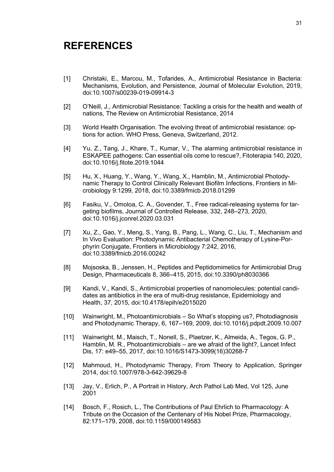### <span id="page-35-0"></span>**REFERENCES**

- [1] Christaki, E., Marcou, M., Tofarides, A., Antimicrobial Resistance in Bacteria: Mechanisms, Evolution, and Persistence, Journal of Molecular Evolution, 2019, doi:10.1007/s00239-019-09914-3
- [2] O'Neill, J., Antimicrobial Resistance: Tackling a crisis for the health and wealth of nations, The Review on Antimicrobial Resistance, 2014
- [3] World Health Organisation. The evolving threat of antimicrobial resistance: options for action. WHO Press, Geneva, Switzerland, 2012.
- [4] Yu, Z., Tang, J., Khare, T., Kumar, V., The alarming antimicrobial resistance in ESKAPEE pathogens: Can essential oils come to rescue?, Fitoterapia 140, 2020, doi:10.1016/j.fitote.2019.1044
- [5] Hu, X., Huang, Y., Wang, Y., Wang, X., Hamblin, M., Antimicrobial Photodynamic Therapy to Control Clinically Relevant Biofilm Infections, Frontiers in Microbiology 9:1299, 2018, doi:10.3389/fmicb.2018.01299
- [6] Fasiku, V., Omoloa, C. A., Govender, T., Free radical-releasing systems for targeting biofilms, Journal of Controlled Release, 332, 248–273, 2020, doi:10.1016/j.jconrel.2020.03.031
- [7] Xu, Z., Gao, Y., Meng, S., Yang, B., Pang, L., Wang, C., Liu, T., Mechanism and In Vivo Evaluation: Photodynamic Antibacterial Chemotherapy of Lysine-Porphyrin Conjugate, Frontiers in Microbiology 7:242, 2016, doi:10.3389/fmicb.2016.00242
- [8] Mojsoska, B., Jenssen, H., Peptides and Peptidomimetics for Antimicrobial Drug Design, Pharmaceuticals 8, 366‒415, 2015, doi:10.3390/ph8030366
- [9] Kandi, V., Kandi, S., Antimicrobial properties of nanomolecules: potential candidates as antibiotics in the era of multi-drug resistance, Epidemiology and Health, 37, 2015, doi:10.4178/epih/e2015020
- [10] Wainwright, M., Photoantimicrobials So What's stopping us?, Photodiagnosis and Photodynamic Therapy, 6, 167-169, 2009, doi:10.1016/j.pdpdt.2009.10.007
- [11] Wainwright, M., Maisch, T., Nonell, S., Plaetzer, K., Almeida, A., Tegos, G. P., Hamblin, M. R., Photoantimicrobials – are we afraid of the light?, Lancet Infect Dis, 17: e49‒55, 2017, doi:10.1016/S1473-3099(16)30268-7
- [12] Mahmoud, H., Photodynamic Therapy, From Theory to Application, Springer 2014, doi:10.1007/978-3-642-39629-8
- [13] Jay, V., Erlich, P., A Portrait in History, Arch Pathol Lab Med, Vol 125, June 2001
- [14] Bosch, F., Rosich, L., The Contributions of Paul Ehrlich to Pharmacology: A Tribute on the Occasion of the Centenary of His Nobel Prize, Pharmacology, 82:171‒179, 2008, doi:10.1159/000149583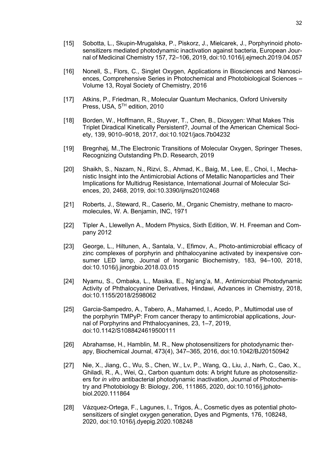- [15] Sobotta, L., Skupin-Mrugalska, P., Piskorz, J., Mielcarek, J., Porphyrinoid photosensitizers mediated photodynamic inactivation against bacteria, European Journal of Medicinal Chemistry 157, 72-106, 2019, doi:10.1016/j.ejmech.2019.04.057
- [16] Nonell, S., Flors, C., Singlet Oxygen, Applications in Biosciences and Nanosciences, Comprehensive Series in Photochemical and Photobiological Sciences – Volume 13, Royal Society of Chemistry, 2016
- [17] Atkins, P., Friedman, R., Molecular Quantum Mechanics, Oxford University Press, USA, 5<sup>TH</sup> edition, 2010
- [18] Borden, W., Hoffmann, R., Stuyver, T., Chen, B., Dioxygen: What Makes This Triplet Diradical Kinetically Persistent?, Journal of the American Chemical Society, 139, 9010‒9018, 2017, doi:10.1021/jacs.7b04232
- [19] Bregnhøj, M.,The Electronic Transitions of Molecular Oxygen, Springer Theses, Recognizing Outstanding Ph.D. Research, 2019
- [20] Shaikh, S., Nazam, N., Rizvi, S., Ahmad, K., Baig, M., Lee, E., Choi, I., Mechanistic Insight into the Antimicrobial Actions of Metallic Nanoparticles and Their Implications for Multidrug Resistance, International Journal of Molecular Sciences, 20, 2468, 2019, doi:10.3390/ijms20102468
- [21] Roberts, J., Steward, R., Caserio, M., Organic Chemistry, methane to macromolecules, W. A. Benjamin, INC, 1971
- [22] Tipler A., Llewellyn A., Modern Physics, Sixth Edition, W. H. Freeman and Company 2012
- [23] George, L., Hiltunen, A., Santala, V., Efimov, A., Photo-antimicrobial efficacy of zinc complexes of porphyrin and phthalocyanine activated by inexpensive consumer LED lamp, Journal of Inorganic Biochemistry, 183, 94-100, 2018, doi:10.1016/j.jinorgbio.2018.03.015
- [24] Nyamu, S., Ombaka, L., Masika, E., Ng'ang'a, M., Antimicrobial Photodynamic Activity of Phthalocyanine Derivatives, Hindawi, Advances in Chemistry, 2018, doi:10.1155/2018/2598062
- [25] Garcia-Sampedro, A., Tabero, A., Mahamed, I., Acedo, P., Multimodal use of the porphyrin TMPyP: From cancer therapy to antimicrobial applications, Journal of Porphyrins and Phthalocyanines, 23, 1–7, 2019, doi:10.1142/S1088424619500111
- [26] Abrahamse, H., Hamblin, M. R., New photosensitizers for photodynamic therapy, Biochemical Journal, 473(4), 347‒365, 2016, doi:10.1042/BJ20150942
- [27] Nie, X., Jiang, C., Wu, S., Chen, W., Lv, P., Wang, Q., Liu, J., Narh, C., Cao, X., Ghiladi, R., A., Wei, Q., Carbon quantum dots: A bright future as photosensitizers for *in vitro* antibacterial photodynamic inactivation, Journal of Photochemistry and Photobiology B: Biology, 206, 111865, 2020, doi:10.1016/j.jphotobiol.2020.111864
- [28] Vázquez-Ortega, F., Lagunes, I., Trigos, Á., Cosmetic dyes as potential photosensitizers of singlet oxygen generation, Dyes and Pigments, 176, 108248, 2020, doi:10.1016/j.dyepig.2020.108248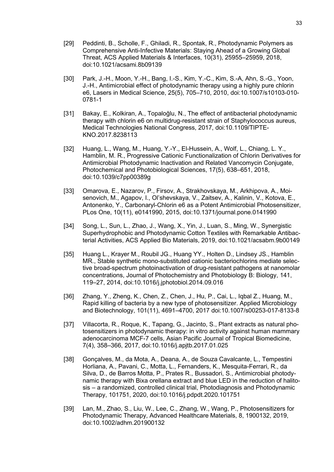- [29] Peddinti, B., Scholle, F., Ghiladi, R., Spontak, R., Photodynamic Polymers as Comprehensive Anti-Infective Materials: Staying Ahead of a Growing Global Threat, ACS Applied Materials & Interfaces, 10(31), 25955–25959, 2018, doi:10.1021/acsami.8b09139
- [30] Park, J.-H., Moon, Y.-H., Bang, I.-S., Kim, Y.-C., Kim, S.-A, Ahn, S.-G., Yoon, J.-H., Antimicrobial effect of photodynamic therapy using a highly pure chlorin e6, Lasers in Medical Science, 25(5), 705–710, 2010, doi:10.1007/s10103-010-0781-1
- [31] Bakay, E., Kolkiran, A., Topaloğlu, N., The effect of antibacterial photodynamic therapy with chlorin e6 on multidrug-resistant strain of Staphylococcus aureus, Medical Technologies National Congress, 2017, doi:10.1109/TIPTE-KNO.2017.8238113
- [32] Huang, L., Wang, M., Huang, Y.-Y., El-Hussein, A., Wolf, L., Chiang, L. Y., Hamblin, M. R., Progressive Cationic Functionalization of Chlorin Derivatives for Antimicrobial Photodynamic Inactivation and Related Vancomycin Conjugate, Photochemical and Photobiological Sciences, 17(5), 638-651, 2018, doi:10.1039/c7pp00389g
- [33] Omarova, E., Nazarov, P., Firsov, A., Strakhovskaya, M., Arkhipova, A., Moisenovich, M., Agapov, I., Ol'shevskaya, V., Zaitsev, A., Kalinin, V., Kotova, E., Antonenko, Y., Carbonaryl-Chlorin e6 as a Potent Antimicrobial Photosensitizer, PLos One, 10(11), e0141990, 2015, doi:10.1371/journal.pone.0141990
- [34] Song, L., Sun, L., Zhao, J., Wang, X., Yin, J., Luan, S., Ming, W., Synergistic Superhydrophobic and Photodynamic Cotton Textiles with Remarkable Antibacterial Activities, ACS Applied Bio Materials, 2019, doi:10.1021/acsabm.9b00149
- [35] Huang L., Krayer M., Roubil JG., Huang YY., Holten D., Lindsey JS., Hamblin MR., Stable synthetic mono-substituted cationic bacteriochlorins mediate selective broad-spectrum photoinactivation of drug-resistant pathogens at nanomolar concentrations, Journal of Photochemistry and Photobiology B: Biology, 141, 119‒27, 2014, doi:10.1016/j.jphotobiol.2014.09.016
- [36] Zhang, Y., Zheng, K., Chen, Z., Chen, J., Hu, P., Cai, L., Iqbal Z., Huang, M., Rapid killing of bacteria by a new type of photosensitizer. Applied Microbiology and Biotechnology, 101(11), 4691–4700, 2017 doi:10.1007/s00253-017-8133-8
- [37] Villacorta, R., Roque, K., Tapang, G., Jacinto, S., Plant extracts as natural photosensitizers in photodynamic therapy: in vitro activity against human mammary adenocarcinoma MCF-7 cells, Asian Pacific Journal of Tropical Biomedicine, 7(4), 358‒366, 2017, doi:10.1016/j.apjtb.2017.01.025
- [38] Gonçalves, M., da Mota, A., Deana, A., de Souza Cavalcante, L., Tempestini Horliana, A., Pavani, C., Motta, L., Fernanders, K., Mesquita-Ferrari, R., da Silva, D., de Barros Motta, P., Prates R., Bussadori, S., Antimicrobial photodynamic therapy with Bixa orellana extract and blue LED in the reduction of halitosis – a randomized, controlled clinical trial, Photodiagnosis and Photodynamic Therapy, 101751, 2020, doi:10.1016/j.pdpdt.2020.101751
- [39] Lan, M., Zhao, S., Liu, W., Lee, C., Zhang, W., Wang, P., Photosensitizers for Photodynamic Therapy, Advanced Healthcare Materials, 8, 1900132, 2019, doi:10.1002/adhm.201900132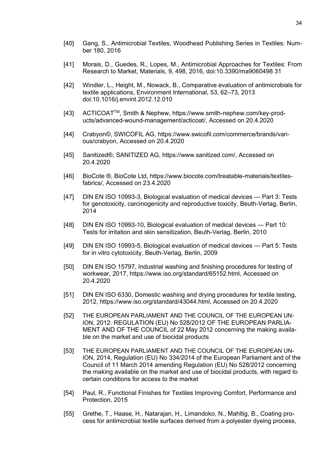- [40] Gang, S., Antimicrobial Textiles, Woodhead Publishing Series in Textiles: Number 180, 2016
- [41] Morais, D., Guedes, R., Lopes, M., Antimicrobial Approaches for Textiles: From Research to Market, Materials, 9, 498, 2016, doi:10.3390/ma9060498 31
- [42] Windler, L., Height, M., Nowack, B., Comparative evaluation of antimicrobials for textile applications, Environment International, 53, 62–73, 2013 doi:10.1016/j.envint.2012.12.010
- [43] ACTICOATTM, Smith & Nephew, https://www.smith-nephew.com/key-products/advanced-wound-management/acticoat/, Accessed on 20.4.2020
- [44] Crabyon©, SWICOFIL AG, https://www.swicofil.com/commerce/brands/various/crabyon, Accessed on 20.4.2020
- [45] Sanitized®, SANITIZED AG, https://www.sanitized.com/, Accessed on 20.4.2020
- [46] BioCote ®, BioCote Ltd, https://www.biocote.com/treatable-materials/textilesfabrics/, Accessed on 23.4.2020
- [47] DIN EN ISO 10993-3, Biological evaluation of medical devices Part 3: Tests for genotoxicity, carcinogenicity and reproductive toxicity, Beuth-Verlag, Berlin, 2014
- [48] DIN EN ISO 10993-10, Biological evaluation of medical devices Part 10: Tests for irritation and skin sensitization, Beuth-Verlag, Berlin, 2010
- [49] DIN EN ISO 10993-5, Biological evaluation of medical devices Part 5: Tests for in vitro cytotoxicity, Beuth-Verlag, Berlin, 2009
- [50] DIN EN ISO 15797, Industrial washing and finishing procedures for testing of workwear, 2017, https://www.iso.org/standard/65152.html, Accessed on 20.4.2020
- [51] DIN EN ISO 6330, Domestic washing and drying procedures for textile testing, 2012, https://www.iso.org/standard/43044.html, Accessed on 20.4.2020
- [52] THE EUROPEAN PARLIAMENT AND THE COUNCIL OF THE EUROPEAN UN-ION, 2012. REGULATION (EU) No 528/2012 OF THE EUROPEAN PARLIA-MENT AND OF THE COUNCIL of 22 May 2012 concerning the making available on the market and use of biocidal products
- [53] THE EUROPEAN PARLIAMENT AND THE COUNCIL OF THE EUROPEAN UN-ION, 2014, Regulation (EU) No 334/2014 of the European Parliament and of the Council of 11 March 2014 amending Regulation (EU) No 528/2012 concerning the making available on the market and use of biocidal products, with regard to certain conditions for access to the market
- [54] Paul, R., Functional Finishes for Textiles Improving Comfort, Performance and Protection, 2015
- [55] Grethe, T., Haase, H., Natarajan, H., Limandoko, N., Mahltig, B., Coating process for antimicrobial textile surfaces derived from a polyester dyeing process,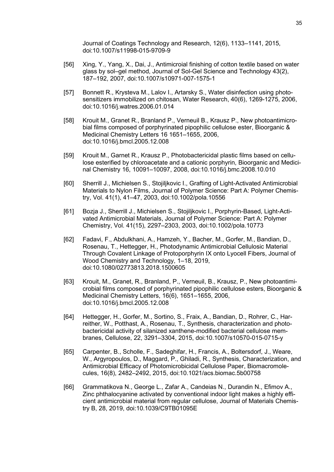Journal of Coatings Technology and Research, 12(6), 1133-1141, 2015, doi:10.1007/s11998-015-9709-9

- [56] Xing, Y., Yang, X., Dai, J., Antimicroial finishing of cotton textile based on water glass by sol-gel method, Journal of Sol-Gel Science and Technology 43(2), 187‒192, 2007, doi:10.1007/s10971-007-1575-1
- [57] Bonnett R., Krysteva M., Lalov I., Artarsky S., Water disinfection using photosensitizers immobilized on chitosan, Water Research, 40(6), 1269-1275, 2006, doi:10.1016/j.watres.2006.01.014
- [58] Krouit M., Granet R., Branland P., Verneuil B., Krausz P., New photoantimicrobial films composed of porphyrinated pipophilic cellulose ester, Bioorganic & Medicinal Chemistry Letters 16 1651-1655, 2006, doi:10.1016/j.bmcl.2005.12.008
- [59] Krouit M., Garnet R., Krausz P., Photobactericidal plastic films based on cellulose esterified by chloroacetate and a cationic porphyrin, Bioorganic and Medicinal Chemistry 16, 10091-10097, 2008, doi:10.1016/j.bmc.2008.10.010
- [60] Sherrill J., Michielsen S., Stojiljkovic I., Grafting of Light-Activated Antimicrobial Materials to Nylon Films, Journal of Polymer Science: Part A: Polymer Chemistry, Vol. 41(1), 41‒47, 2003, doi:10.1002/pola.10556
- [61] Bozja J., Sherrill J., Michielsen S., Stojiljkovic I., Porphyrin-Based, Light-Activated Antimicrobial Materials, Journal of Polymer Science: Part A: Polymer Chemistry, Vol. 41(15), 2297‒2303, 2003, doi:10.1002/pola.10773
- [62] Fadavi, F., Abdulkhani, A., Hamzeh, Y., Bacher, M., Gorfer, M., Bandian, D., Rosenau, T., Hettegger, H., Photodynamic Antimicrobial Cellulosic Material Through Covalent Linkage of Protoporphyrin IX onto Lyocell Fibers, Journal of Wood Chemistry and Technology, 1-18, 2019, doi:10.1080/02773813.2018.1500605
- [63] Krouit, M., Granet, R., Branland, P., Verneuil, B., Krausz, P., New photoantimicrobial films composed of porphyrinated pipophilic cellulose esters, Bioorganic & Medicinal Chemistry Letters, 16(6), 1651–1655, 2006, doi:10.1016/j.bmcl.2005.12.008
- [64] Hettegger, H., Gorfer, M., Sortino, S., Fraix, A., Bandian, D., Rohrer, C., Harreither, W., Potthast, A., Rosenau, T., Synthesis, characterization and photobactericidal activity of silanized xanthene-modified bacterial cellulose membranes, Cellulose, 22, 3291‒3304, 2015, doi:10.1007/s10570-015-0715-y
- [65] Carpenter, B., Scholle, F., Sadeghifar, H., Francis, A., Boltersdorf, J., Weare, W., Argyropoulos, D., Maggard, P., Ghiladi, R., Synthesis, Characterization, and Antimicrobial Efficacy of Photomicrobicidal Cellulose Paper, Biomacromolecules, 16(8), 2482–2492, 2015, doi:10.1021/acs.biomac.5b00758
- [66] Grammatikova N., George L., Zafar A., Candeias N., Durandin N., Efimov A., Zinc phthalocyanine activated by conventional indoor light makes a highly efficient antimicrobial material from regular cellulose, Journal of Materials Chemistry B, 28, 2019, doi:10.1039/C9TB01095E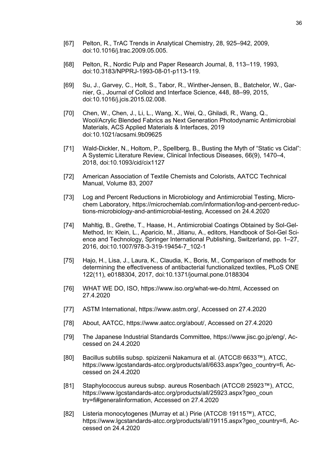- [67] Pelton, R., TrAC Trends in Analytical Chemistry, 28, 925–942, 2009, doi:10.1016/j.trac.2009.05.005.
- [68] Pelton, R., Nordic Pulp and Paper Research Journal, 8, 113–119, 1993, doi:10.3183/NPPRJ-1993-08-01-p113-119.
- [69] Su, J., Garvey, C., Holt, S., Tabor, R., Winther-Jensen, B., Batchelor, W., Garnier, G., Journal of Colloid and Interface Science, 448, 88–99, 2015, doi:10.1016/j.jcis.2015.02.008.
- [70] Chen, W., Chen, J., Li, L., Wang, X., Wei, Q., Ghiladi, R., Wang, Q., Wool/Acrylic Blended Fabrics as Next Generation Photodynamic Antimicrobial Materials, ACS Applied Materials & Interfaces, 2019 doi:10.1021/acsami.9b09625
- [71] Wald-Dickler, N., Holtom, P., Spellberg, B., Busting the Myth of "Static vs Cidal": A Systemic Literature Review, Clinical Infectious Diseases, 66(9), 1470‒4, 2018, doi:10.1093/cid/cix1127
- [72] American Association of Textile Chemists and Colorists, AATCC Technical Manual, Volume 83, 2007
- [73] Log and Percent Reductions in Microbiology and Antimicrobial Testing, Microchem Laboratory, https://microchemlab.com/information/log-and-percent-reductions-microbiology-and-antimicrobial-testing, Accessed on 24.4.2020
- [74] Mahltig, B., Grethe, T., Haase, H., Antimicrobial Coatings Obtained by Sol-Gel-Method, In: Klein, L., Aparicio, M., Jitianu, A., editors, Handbook of Sol-Gel Science and Technology, Springer International Publishing, Switzerland, pp. 1–27, 2016, doi:10.1007/978-3-319-19454-7\_102-1
- [75] Hajo, H., Lisa, J., Laura, K., Claudia, K., Boris, M., Comparison of methods for determining the effectiveness of antibacterial functionalized textiles, PLoS ONE 122(11), e0188304, 2017, doi:10.1371/journal.pone.0188304
- [76] WHAT WE DO, ISO, https://www.iso.org/what-we-do.html, Accessed on 27.4.2020
- [77] ASTM International, https://www.astm.org/, Accessed on 27.4.2020
- [78] About, AATCC, https://www.aatcc.org/about/, Accessed on 27.4.2020
- [79] The Japanese Industrial Standards Committee, https://www.jisc.go.jp/eng/, Accessed on 24.4.2020
- [80] Bacillus subtilis subsp. spizizenii Nakamura et al. (ATCC® 6633™), ATCC, https://www.lgcstandards-atcc.org/products/all/6633.aspx?geo\_country=fi, Accessed on 24.4.2020
- [81] Staphylococcus aureus subsp. aureus Rosenbach (ATCC® 25923™), ATCC, https://www.lgcstandards-atcc.org/products/all/25923.aspx?geo\_coun try=fi#generalinformation, Accessed on 27.4.2020
- [82] Listeria monocytogenes (Murray et al.) Pirie (ATCC® 19115™), ATCC, https://www.lgcstandards-atcc.org/products/all/19115.aspx?geo\_country=fi, Accessed on 24.4.2020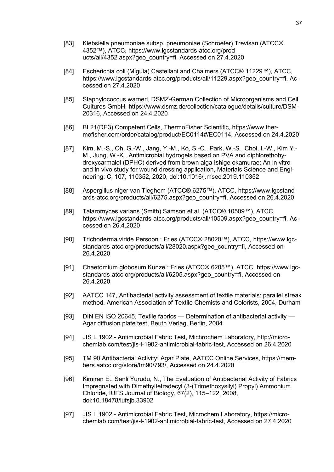- [83] Klebsiella pneumoniae subsp. pneumoniae (Schroeter) Trevisan (ATCC® 4352™), ATCC, https://www.lgcstandards-atcc.org/products/all/4352.aspx?geo\_country=fi, Accessed on 27.4.2020
- [84] Escherichia coli (Migula) Castellani and Chalmers (ATCC® 11229™), ATCC, https://www.lgcstandards-atcc.org/products/all/11229.aspx?geo\_country=fi, Accessed on 27.4.2020
- [85] Staphylococcus warneri, DSMZ-German Collection of Microorganisms and Cell Cultures GmbH, https://www.dsmz.de/collection/catalogue/details/culture/DSM-20316, Accessed on 24.4.2020
- [86] BL21(DE3) Competent Cells, ThermoFisher Scientific, https://www.thermofisher.com/order/catalog/product/EC0114#/EC0114, Accessed on 24.4.2020
- [87] Kim, M.-S., Oh, G.-W., Jang, Y.-M., Ko, S.-C., Park, W.-S., Choi, I.-W., Kim Y.- M., Jung, W.-K., Antimicrobial hydrogels based on PVA and diphlorethohydroxycarmalol (DPHC) derived from brown alga Ishige okamurae: An in vitro and in vivo study for wound dressing application, Materials Science and Engineering: C, 107, 110352, 2020, doi:10.1016/j.msec.2019.110352
- [88] Aspergillus niger van Tieghem (ATCC® 6275™), ATCC, https://www.lgcstandards-atcc.org/products/all/6275.aspx?geo\_country=fi, Accessed on 26.4.2020
- [89] Talaromyces varians (Smith) Samson et al. (ATCC® 10509™), ATCC, https://www.lgcstandards-atcc.org/products/all/10509.aspx?geo\_country=fi, Accessed on 26.4.2020
- [90] Trichoderma viride Persoon : Fries (ATCC® 28020™), ATCC, https://www.lgcstandards-atcc.org/products/all/28020.aspx?geo\_country=fi, Accessed on 26.4.2020
- [91] Chaetomium globosum Kunze : Fries (ATCC® 6205™), ATCC, https://www.lgcstandards-atcc.org/products/all/6205.aspx?geo\_country=fi, Accessed on 26.4.2020
- [92] AATCC 147, Antibacterial activity assessment of textile materials: parallel streak method. American Association of Textile Chemists and Colorists, 2004, Durham
- [93] DIN EN ISO 20645, Textile fabrics Determination of antibacterial activity Agar diffusion plate test, Beuth Verlag, Berlin, 2004
- [94] JIS L 1902 Antimicrobial Fabric Test, Michrochem Laboratory, http://microchemlab.com/test/jis-l-1902-antimicrobial-fabric-test, Accessed on 26.4.2020
- [95] TM 90 Antibacterial Activity: Agar Plate, AATCC Online Services, https://members.aatcc.org/store/tm90/793/, Accessed on 24.4.2020
- [96] Kimiran E., Sanli Yurudu, N., The Evaluation of Antibacterial Activity of Fabrics Impregnated with Dimethyltetradecyl (3-(Trimethoxysilyl) Propyl) Ammonium Chloride, IUFS Journal of Biology, 67(2), 115‒122, 2008, doi:10.18478/iufsjb.33902
- [97] JIS L 1902 Antimicrobial Fabric Test, Microchem Laboratory, https://microchemlab.com/test/jis-l-1902-antimicrobial-fabric-test, Accessed on 27.4.2020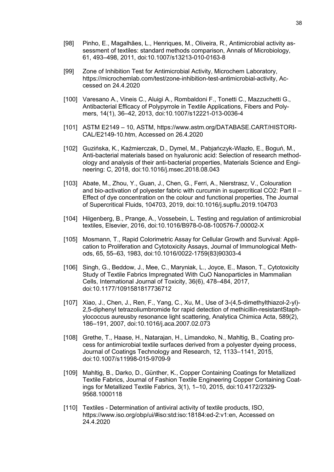- [98] Pinho, E., Magalhães, L., Henriques, M., Oliveira, R., Antimicrobial activity assessment of textiles: standard methods comparison, Annals of Microbiology, 61, 493‒498, 2011, doi:10.1007/s13213-010-0163-8
- [99] Zone of Inhibition Test for Antimicrobial Activity, Microchem Laboratory, https://microchemlab.com/test/zone-inhibition-test-antimicrobial-activity, Accessed on 24.4.2020
- [100] Varesano A., Vineis C., Aluigi A., Rombaldoni F., Tonetti C., Mazzuchetti G., Antibacterial Efficacy of Polypyrrole in Textile Applications, Fibers and Polymers, 14(1), 36‒42, 2013, doi:10.1007/s12221-013-0036-4
- [101] ASTM E2149 10, ASTM, https://www.astm.org/DATABASE.CART/HISTORI-CAL/E2149-10.htm, Accessed on 26.4.2020
- [102] Guzińska, K., Kaźmierczak, D., Dymel, M., Pabjańczyk-Wlazło, E., Boguń, M., Anti-bacterial materials based on hyaluronic acid: Selection of research methodology and analysis of their anti-bacterial properties, Materials Science and Engineering: C, 2018, doi:10.1016/j.msec.2018.08.043
- [103] Abate, M., Zhou, Y., Guan, J., Chen, G., Ferri, A., Nierstrasz, V., Colouration and bio-activation of polyester fabric with curcumin in supercritical CO2: Part II – Effect of dye concentration on the colour and functional properties, The Journal of Supercritical Fluids, 104703, 2019, doi:10.1016/j.supflu.2019.104703
- [104] Hilgenberg, B., Prange, A., Vossebein, L. Testing and regulation of antimicrobial textiles, Elsevier, 2016, doi:10.1016/B978-0-08-100576-7.00002-X
- [105] Mosmann, T., Rapid Colorimetric Assay for Cellular Growth and Survival: Application to Proliferation and Cytotoxicity Assays, Journal of Immunological Methods, 65, 55‒63, 1983, doi:10.1016/0022-1759(83)90303-4
- [106] Singh, G., Beddow, J., Mee, C., Maryniak, L., Joyce, E., Mason, T., Cytotoxicity Study of Textile Fabrics Impregnated With CuO Nanoparticles in Mammalian Cells, International Journal of Toxicity, 36(6), 478–484, 2017, doi:10.1177/1091581817736712
- [107] Xiao, J., Chen, J., Ren, F., Yang, C., Xu, M., Use of 3-(4,5-dimethylthiazol-2-yl)- 2,5-diphenyl tetrazoliumbromide for rapid detection of methicillin-resistantStaphylococcus aureusby resonance light scattering, Analytica Chimica Acta, 589(2), 186‒191, 2007, doi:10.1016/j.aca.2007.02.073
- [108] Grethe, T., Haase, H., Natarajan, H., Limandoko, N., Mahltig, B., Coating process for antimicrobial textile surfaces derived from a polyester dyeing process, Journal of Coatings Technology and Research, 12, 1133–1141, 2015, doi:10.1007/s11998-015-9709-9
- [109] Mahltig, B., Darko, D., Günther, K., Copper Containing Coatings for Metallized Textile Fabrics, Journal of Fashion Textile Engineering Copper Containing Coatings for Metallized Textile Fabrics, 3(1), 1‒10, 2015, doi:10.4172/2329- 9568.1000118
- [110] Textiles Determination of antiviral activity of textile products, ISO, https://www.iso.org/obp/ui/#iso:std:iso:18184:ed-2:v1:en, Accessed on 24.4.2020